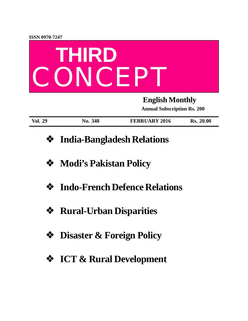

**Annual Subscription Rs. 200**

| <b>Vol. 29</b> | 348<br>NO. | <b>FEBRUARY 2016</b> | 20.00<br>Rs. |
|----------------|------------|----------------------|--------------|

- **❖ India-Bangladesh Relations**
- **❖ Modi's Pakistan Policy**
- **❖ Indo-French Defence Relations**
- **❖ Rural-Urban Disparities**
- **❖ Disaster & Foreign Policy**
- **❖ ICT & Rural Development**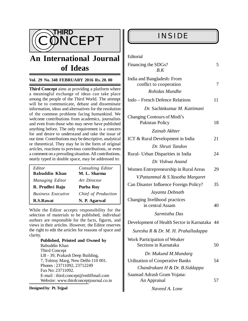

# **An International Journal of Ideas**

## **Vol. 29 No. 348 FEBRUARY 2016 Rs. 20. 00**

**Third Concept** aims at providing a platform where a meaningful exchange of ideas can take place among the people of the Third World. The attempt will be to communicate, debate and disseminate information, ideas and alternatives for the resolution of the common problems facing humankind. We welcome contributions from academics, journalists and even from those who may never have published anything before. The only requirement is a concern for and desire to understand and take the issue of our time. Contributions may be descriptive, analytical or theoretical. They may be in the form of original articles, reactions to previous contributions, or even a comment on a prevailing situation. All contributions, neatly typed in double space, may be addressed to:

| Editor<br><b>Babuddin Khan</b> | Consulting Editor<br>M. L. Sharma |
|--------------------------------|-----------------------------------|
| Managing Editor                | Art Director                      |
| R. Prudhvi Raju                | Purba Roy                         |
| <b>Business Executive</b>      | Chief of Production               |
| <b>R.S.Rawat</b>               | N. P. Agarwal                     |

While the Editor accepts responsibility for the selection of materials to be published, individual authors are responsible for the facts, figures, and views in their articles. However, the Editor reserves the right to edit the articles for reasons of space and clarity.

> **Published, Printed and Owned by** Babuddin Khan Third Concept LB - 39, Prakash Deep Building, 7, Tolstoy Marg, New Delhi-110 001. Phones : 23711092, 23712249 Fax No: 23711092. E-mail : [third.concept@rediffmail.com](mailto:third.concept@rediffmail.com) Website: [www.thirdconceptjournal.co.in](http://www.thirdconceptjournal.co.in)

**Designed by**: **Pt. Tejpal**

# **INSIDE**

Editorial

| Financing the SDGs?<br>B.K                                              | 5  |
|-------------------------------------------------------------------------|----|
| India and Bangladesh: From<br>conflict to cooperation<br>Rohidas Mundhe | 7  |
|                                                                         |    |
| Indo – French Defence Relations                                         | 11 |
| Dr. Sachinkumar M. Kattimani                                            |    |
| Changing Contours of Modi's<br>Pakistan Policy                          | 18 |
| Zainab Akhter                                                           |    |
| ICT & Rural Development in India                                        | 21 |
| Dr. Shruti Tandon                                                       |    |
| Rural- Urban Disparities in India                                       | 24 |
| Dr. Vishwa Anand                                                        |    |
| Women Entrepreneurship in Rural Areas                                   | 29 |
| V.Pattammal & S.Yasotha Margaret                                        |    |
| Can Disaster Influence Foreign Policy?                                  | 35 |
| Jayanta Debnath                                                         |    |
| Changing livelihood practices<br>in central Assam                       | 40 |
| Sarmistha Das                                                           |    |
| Development of Health Sector in Karnataka 44                            |    |
| Suresha R & Dr. M. H. Prahalladappa                                     |    |
| Work Participation of Weaker<br>Sections in Karnataka                   | 50 |
| Dr. Mukund M.Mundarg                                                    |    |
| <b>Utilization of Cooperative Banks</b>                                 | 54 |
| Chandrakant H & Dr. B. Siddappa                                         |    |
| Saansad Adrash Gram Yojana:<br>An Appraisal                             | 57 |
| Naveed A. Lone                                                          |    |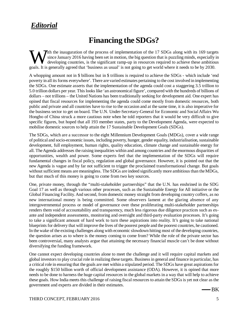# *Editorial*

# **Financing the SDGs?**

W the inauguration of the process of implementation of the 17 SDGs along with its 169 targe since January 2016 having been set in motion, the big question that is puzzling minds, especially developing countries, is the sig The inauguration of the process of implementation of the  $17$  SDGs along with its 169 targets since January 2016 having been set in motion, the big question that is puzzling minds, especially in developing countries, is the significant ramp-up in resources required to achieve these ambitious

A whopping amount not in \$ billions but in \$ trillions is required to achieve the SDGs - which include 'end poverty in all its forms everywhere'. There are varied estimates pertaining to the cost involved in implementing the SDGs. One estimate asserts that the implementation of the agenda could cost a staggering 3.5 trillion to 5.0 trillion dollars per year. This looks like 'an astronomical figure', compared with the hundreds of billions of dollars – not trillions – the United Nations has been traditionally seeking for development aid. One expert has opined that fiscal resources for implementing the agenda could come mostly from domestic resources, both public and private and all countries have to rise to the occasion and at the same time, it is also imperative for the business sector to get on board. The U.N. Under-Secretary-General for Economic and Social Affairs Wu Hongbo of China struck a more cautious note when he told reporters that it would be very difficult to give specific figures, but hoped that all 193 member states, party to the Development Agenda, were expected to mobilise domestic sources to help attain the 17 Sustainable Development Goals (SDGs).

The SDGs, which are a successor to the eight Millennium Development Goals (MDGs), cover a wide range of political and socio-economic issues, including poverty, hunger, gender equality, industrialisation, sustainable development, full employment, human rights, quality education, climate change and sustainable energy for all. The Agenda addresses the raising inequalities within and among countries and the enormous disparities of opportunities, wealth and power. Some experts feel that the implementation of the SDGs will require fundamental changes in fiscal policy, regulation and global governance. However, it is pointed out that the new Agenda is vague and by far not sufficient to trigger the proclaimed transformational change. But goals without sufficient means are meaningless. The SDGs are indeed significantly more ambitious than the MDGs, but that much of this money is going to come from two key sources.

One, private money, through the "multi-stakeholder partnerships" that the U.N. has enshrined in the SDG Goal 17 as well as through various other processes, such as the Sustainable Energy for All initiative or the Global Financing Facility. And second, from domestic money straight from developing country coffers, as no new international money is being committed. Some observers lament at the glaring absence of any intergovernmental process or model of governance over these proliferating multi-stakeholder partnerships renders them void of accountability and transparency, much less rigorous due diligence practices such as exante and independent assessments, monitoring and oversight and third-party evaluation processes. It's going to take a significant amount of hard work to turn these aspirations into reality. It's going to take national blueprints for delivery that will improve the lives of the poorest people and the poorest countries, he cautioned. In the wake of the existing challenges along with economic slowdown hitting most of the developing countries, the question arises as to where is the money coming to come from? While the role of the private sector has been controversial, many analysts argue that attaining the necessary financial muscle can't be done without diversifying the funding framework.

One cannot expect developing countries alone to meet the challenge and it will require capital markets and global investors to play crucial role in realizing these targets. Business in general and finance in particular, has a critical role in ensuring that the goals are met within a stipulated period. The SDGs have great aspirations for the roughly \$150 billion worth of official development assistance (ODA). However, it is opined that more needs to be done to harness the huge capital resources in the global markets in a way that will help to achieve these goals. How India meets this challenge of raising fiscal resources to attain the SDGs is yet not clear as the government and experts are divided in their estimates.

-BK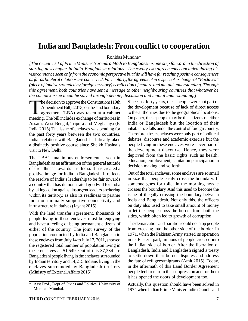# **India and Bangladesh: From conflict to cooperation**

Rohidas Mundhe\*

*[The recent visit of Prime Minister Narendra Modi to Bangladesh is one step forward in the direction of starting new chapter in India-Bangladesh relations. The twenty-two agreements concluded during his visit cannot be seen only from the economic perspective but this will have far reaching positive consequences as far as bilateral relations are concerned. Particularly, the agreement in respect of exchange of "Enclaves" (piece of land surrounded by foreign territory) is reflection of mature and mutual understanding. Through this agreement, both countries have sent a message to other neighbouring countries that whatever be the complex issue it can be solved through debate, discussion and mutual understanding.]*

The decision to approve the Constitution(119th<br>Amendment Bill), 2013, on the land boundary<br>agreement (LBA) was taken at a cabinet<br>meeting. The bill includes exchange of territories in **h**e decision to approve the Constitution(119th Amendment Bill), 2013, on the land boundary agreement (LBA) was taken at a cabinet Assam, West Bengal, Tripura and Meghalaya (F. India 2015).The issue of enclaves was pending for the past forty years between the two countries. India's relations with Bangladesh had already taken a distinctly positive course since Sheikh Hasina's visit to New Delhi.

The LBA's unanimous endorsement is seen in Bangladesh as an affirmation of the general attitude of friendliness towards it in India. It has created a positive image for India in Bangladesh. It reflects the resolve of India's leadership to be fair towards a country that has demonstrated goodwill for India by taking action against insurgent leaders sheltering within its territory, as also its readiness to partner India on mutually supportive connectivity and infrastructure initiatives (Jayant 2015).

With the land transfer agreement, thousands of people living in these enclaves must be enjoying and have a feeling of being permanent citizens of either of the country. The joint survey of the population conducted by India and Bangladesh in these enclaves from July 14 to July 17, 2011, showed the registered total number of population living in these enclaves as 51,549. Out of this 37,334 are Bangladeshi people living in the enclaves surrounded by Indian territory and 14,215 Indians living in the enclaves surrounded by Bangladesh territory (Ministry of External Affairs 2015).

Since last forty years, these people were not part of the development because of lack of direct access to the authorities due to the geographical locations. On paper, these people may be the citizens of either India or Bangladesh but the location of their inhabitance falls under the control of foreign country. Therefore, these enclaves were only part of political debates, discourse and academic exercise but the people living in these enclaves were never part of the development discourse. Hence, they were deprived from the basic rights such as health, education, employment, sanitation participation in decision making and so forth.

Out of the total enclaves, some enclaves are so small in size that people easily cross the boundary. If someone goes for toilet in the morning he/she crosses the boundary. And this used to become the issue of illegally crossing the boundary between India and Bangladesh. Not only this, the officers on duty also used to take small amount of money to let the people cross the border from both the sides, which often led to growth of corruption.

The demarcation and partition could not stop people from crossing into the other side of the border. In 1971, when the Pakistan Army started its operation in its Eastern part, millions of people crossed into the Indian side of border. After the liberation of Bangladesh, India and Bangladesh signed a treaty to settle down their border disputes and address the fate of refugees/migrants (Amit 2015). Today, in the aftermath of this Land Border Agreement people feel free from this suppression and for them it has opened the doors of development too.

Actually, this question should have been solved in 1974 when Indian Prime Minister Indira Gandhi and

<sup>\*</sup> Asst Prof., Dept of Civics and Politics, University of Mumbai, Mumbai.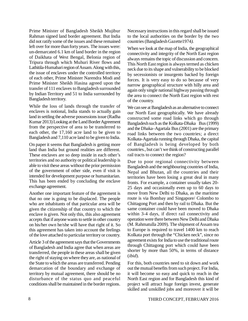Prime Minister of Bangladesh Sheikh Mujibur Rahman signed land border agreement. But India did not ratify some of the issues and these remained left over for more than forty years. The issues were: un-demarcated 6.1 km of land border in the region of Daikhata of West Bengal, Belonia region of Tripura through which Muhuri River flows and Lathitila-Humabari region of Assam. Along with this, the issue of enclaves under the controlled territory of each other, Prime Minister Narendra Modi and Prime Minister Sheikh Hasina agreed upon the transfer of 111 enclaves to Bangladesh surrounded by Indian Territory and 51 to India surrounded by Bangladesh territory.

While the loss of lands through the transfer of enclaves is notional, India stands to actually gain land in settling the adverse possessions issue (Radha Kumar 2013) Looking at the Land Border Agreement from the perspective of area to be transferred to each other, the 17,160 acre land to be given to Bangladesh and 7,110 acre land to be given to India.

On paper it seems that Bangladesh is getting more land than India but ground realities are different. These enclaves are so deep inside in each other's territories and no authority or political leadership is able to visit these areas without the prior permission of the government of other side, even if visit is intended for development purpose or humanitarian. This has been ended by concluding the enclave exchange agreement.

Another one important feature of the agreement is that no one is going to be displaced. The people who are inhabitants of that particular area will be given the citizenship of that country to which the enclave is given. Not only this, this also agreement accepts that if anyone wants to settle in other country on his/her own he/she will have that right of it. So this agreement has taken into account the feelings of the love attached to particular territory or country.

Article 3 of the agreement says that the Governments of Bangladesh and India agree that when areas are transferred, the people in these areas shall be given the right of staying on where they are, as national of the State to which the areas are transferred. Pending demarcation of the boundary and exchange of territory by mutual agreement, there should be no disturbance of the status quo and peaceful conditions shall be maintained in the border regions.

Necessary instructions in this regard shall be issued to the local authorities on the border by the two countries(Bangladesh Gazette1974*).*

When we look at the map of India, the geographical connectivity and integrity of the North East region always remains the topic of discussion and concern. This North East region is always termed as chicken neck due to its shape and vulnerability to be blocked by secessionists or insurgents backed by foreign forces. It is very easy to do so because of very narrow geographical structure with hilly area and again only single national highway passing through the area to connect the North East region with rest of the country.

We can see at Bangladesh as an alternative to connect our North East geographically. We have already constructed some road links which go through Bangladesh such as the Kolkata-Dhaka Bus (1999) and the Dhaka–Agartala Bus (2001) are the primary road links between the two countries; a direct Kolkata-Agartala running through Dhaka, the capital of Bangladesh is being developed by both countries., but can't we think of constructing parallel rail tracts to connect the region?

Due to poor regional connectivity between Bangladesh and the neighbouring countries of India, Nepal and Bhutan, all the countries and their territories have been losing a great deal in many fronts. For example, a container usually takes 20- 25 days and occasionally even up to 60 days to move from New Delhi to Dhaka, as the maritime route is via Bombay and Singapore/ Colombo to Chittagong Port and then by rail to Dhaka. But the same container could have been moved to Dhaka within 3-4 days, if direct rail connectivity and operation were there between New Delhi and Dhaka (M. Rahmatulla 2009). The shipment of Assam tea to Europe is required to travel 1400 km to reach Kolkata port through the "Chicken neck", since no agreement exists for India to use the traditional route through Chittagong port which could have been shorter by more than 50%, in terms of distance (*ibid*).

For this, both countries need to sit down and work out the mutual benefits from such project. For India, it will become so easy and quick to reach in the North East region and for Bangladesh this kind of project will attract huge foreign invest, generate skilled and unskilled jobs and moreover it will be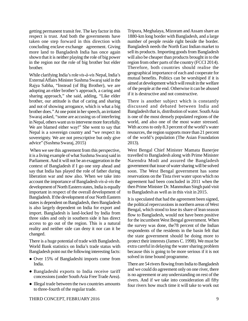getting permanent transit fee. The key factor in this respect is trust. And both the governments have taken one step forward in this direction with concluding enclave exchange agreement. Giving more land to Bangladesh India has once again shown that it is neither playing the role of big power in the region nor the role of big brother but elder brother.

While clarifying India's role *vis-à-vis* Nepal, India's External Affairs Minister Sushma Swaraj said in the Rajya Sabha, "Instead (of Big Brother), we are adopting an elder brother's approach, a caring and sharing approach," she said, adding, "Like elder brother, our attitude is that of caring and sharing and not of showing arrogance, which is what a big brother does." At one point in her speech, an irritated Swaraj asked, "some are accusing us of interfering in Nepal, others want us to intervene more forcefully. We are blamed either way!" She went to say that Nepal is a sovereign country and "we respect its sovereignty. We are not prescriptive but only give advice" (Sushma Swaraj, 2015)

 When we see this agreement from this perspective, it is a living example of what Sushma Swaraj said in Parliament. And it will not be an exaggeration in the context of Bangladesh if I go one step ahead and say that India has played the role of father during liberation war and now also. When we take into account the importance of Bangladesh *vis-à-vis* the development of North Eastern states, India is equally important in respect of the overall development of Bangladesh. If the development of our North Eastern states is dependent on Bangladesh, then Bangladesh is also largely dependent on India for export and import. Bangladesh is land-locked by India from three sides and only in southern side it has direct access to go out of the region. This is a natural reality and neither side can deny it nor can it be changed.

There is a huge potential of trade with Bangladesh. World Bank statistics on India's trade status with Bangladesh point out the following interesting facts:

- Over 15% of Bangladeshi imports come from India.
- Bangladeshi exports to India receive tariff concessions (under South Asia Free Trade Area).
- Illegal trade between the two countries amounts to three-fourth of the regular trade.

Tripura, Meghalaya, Mizoram and Assam share an 1880-km long border with Bangladesh, and a large number of people reside right beside the border. Bangladesh needs the North East Indian market to sell its products. Importing goods from Bangladesh will also be cheaper than products brought in to the region from other parts of the country (FCCI 2014). Therefore, both countries should realise the geographical importance of each and cooperate for mutual benefits. Politics can be worshiped if it is aimed at development which will result in the welfare of the people at the end. Otherwise it can be abused if it is destructive and not constructive.

There is another subject which is constantly discussed and debated between India and Bangladesh that is, distribution of water. South Asia is one of the most densely populated regions of the world, and also one of the most water stressed. With access to only 8.3 percent of the world's water resources, the region supports more than 21 percent of the world's population (The Asian Foundation 2013).

West Bengal Chief Minister Mamata Banerjee travelled to Bangladesh along with Prime Minister Narendra Modi and assured the Bangladesh government that issue of water sharing will be solved soon. The West Bengal government has some reservations on the Tista river water upon which no agreement had been concluded in 2011 when the then Prime Minister Dr. Manmohan Singh paid visit to Bangladesh as well as in this visit in 2015.

It is speculated that had the agreement been signed, the political repercussions in northern areas of West Bengal, which stood to lose its share of lean season flow to Bangladesh, would not have been positive for the incumbent West Bengal government. When the survey was done, the78 percent of the Indian respondents of the residents in the basin felt that the state government should be doing more to protect their interests (James C. 1998). We must be extra careful in delaying the water sharing problem because this is going to be more serious if it is not solved in time bound programme.

There are 54 rivers flowing from India to Bangladesh and we could do agreement only on one river, there is no agreement or any understanding on rest of the rivers. And if we take into consideration all fifty four rivers how much time it will take to work out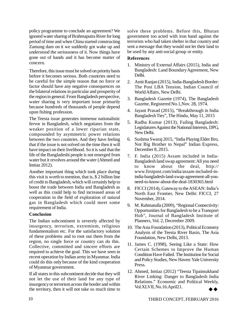policy programme to conclude an agreement? We ignored water sharing of Brahmaputra River for long period of time and when China started constructing Zamung dam on it we suddenly got wake up and understood the seriousness of it. Now things have gone out of hands and it has become matter of concern.

Therefore, this issue must be solved on priority basis before it becomes serious. Both countries need to be careful for the simple reason that no force or factor should have any negative consequences on the bilateral relations in particular and prosperity of the region in general. From Bangladesh perspective, water sharing is very important issue primarily because hundreds of thousands of people depend upon fishing profession.

The Teesta issue generates immense nationalistic fervor in Bangladesh, which negotiates from the weaker position of a lower riparian state, compounded by asymmetric power relations between the two countries. And they have feeling that if the issue is not solved on the time then it will have impact on their livelihood. So it is said that the life of the Bangladeshi people is not emerged from water but it revolves around the water (Ahmed and Imtiaz 2012).

Another important thing which took place during this visit is worth to mention, that is, \$ 2 billion line of credit to Bangladesh, which will certainly help to boost the trade between India and Bangladesh as well as this could help to find increased areas of cooperation in the field of exploration of natural gas in Bangladesh which could meet some requirement of India.

### **Conclusion**

The Indian subcontinent is severely affected by insurgency, terrorism, extremism, religious fundamentalism etc. For the satisfactory solution of these problems and to root out them from the region, no single force or country can do this. Collective, committed and sincere efforts are required to achieve the goal. This we have seen in recent operation by Indian army in Myanmar. India could do this only because of the kind cooperation of Myanmar government.

If all states in this subcontinent decide that they will not let the use of their land for any type of insurgency or terrorism across the border and within the territory, then it will not take so much time to

solve these problems. Before this, Bhutan government too acted with iron hand against the terrorists who had taken shelter in that country and sent a message that they would not let their land to be used by any anti-social group or entity.

### **References**

- 1. Ministry of External Affairs (2015), India and Bangladesh: Land Boundary Agreement, New Delhi.
- 2. Amit Ranjan (2015), India-Bangladesh Border: The Post LBA Tension, Indian Council of World Affairs, New Delhi.
- 3. Bangladesh Gazette (1974), The Bangladesh Gazette, Registered No.1,Nov. 28, 1974.
- 4. Jayant Prasad (2015), "Breakthrough in India Bangladesh Ties", The Hindu, May 11, 2015
- 5. Radha Kumar (2013), Failing Bangladesh: Legislatures Against the National Interests, DPG, New Delhi.
- 6. Sushma Swaraj 2015, "India Playing Elder Bro, Not Big Brother to Nepal" Indian Express, December 8, 2015.
- 7. F. India (2015) Assam included in India-Bangladesh land swap agreement: All you need to know about the deal, <http://> [www.firstpost.com/india/assam-included-in](http://www.firstpost.com/india/assam-included-in-)india-bangladesh-land-swap-agreement-all-youneed-to-know-about-the-deal-1830365.html
- 8. FICCI (2014), Gateway to the ASEAN: India's North East Frontier, New Delhi: FICCI, 27 November, 2014.
- 9. M. Rahmatulla (2009), "Regional Connectivity: Opportunities for Bangladesh to be a Transport Hub", Journal of Bangladesh Institute of Planners, Vol. 2, December 2009.
- 10. The Asia Foundation (2013), Political Economy Analysis of the Teesta River Basin, The Asia Foundation, New Delhi, 2013.
- 11. James C. (1998), Seeing Like a State: How Certain Schemes to Improve the Human Condition Have Failed. The Institution for Social and Policy Studies, New Haven: Yale University Press.
- 12. Ahmed, Imtiaz (2012) "Teesta Tipaimukhand River Linking: Danger to Bangladesh India Relations." Economic and Political Weekly, Vol.XLVII, No.16.April21.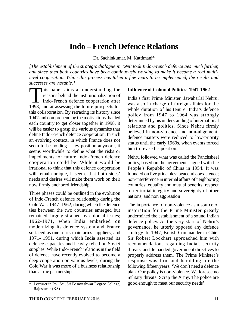# **Indo – French Defence Relations**

Dr. Sachinkumar. M. Kattimani\*

*[The establishment of the strategic dialogue in 1998 took Indo-French defence ties much further, and since then both countries have been continuously working to make it become a real multilevel cooperation. While this process has taken a few years to be implemented, the results and successes are notable.]*

This paper aims at understanding the<br>
reasons behind the institutionalization of<br>
Indo-French defence cooperation after<br>
1998, and at assessing the future prospects for his paper aims at understanding the reasons behind the institutionalization of Indo-French defence cooperation after this collaboration. By retracing its history since 1947 and comprehending the motivations that led each country to get closer together in 1998, it will be easier to grasp the various dynamics that define Indo-French defence cooperation. In such an evolving context, in which France does not seem to be holding a key position anymore, it seems worthwhile to define what the risks or impediments for future Indo-French defence cooperation could be. While it would be irrational to think that this defence cooperation will remain unique, it seems that both sides' needs and desires will make them work on their now firmly anchored friendship.

Three phases could be outlined in the evolution of Indo-French defence relationship during the Cold War: 1947- 1962, during which the defence ties between the two countries emerged but remained largely strained by colonial issues; 1962-1971, when India embarked on modernizing its defence system and France surfaced as one of its main arms suppliers; and 1971- 1991, during which India asserted its defence capacities and heavily relied on Soviet supplies. While Indo-French relations in the field of defence have recently evolved to become a deep cooperation on various levels, during the Cold War it was more of a business relationship than a true partnership.

#### **Influence of Colonial Politics: 1947-1962**

India's first Prime Minister, Jawaharlal Nehru, was also in charge of foreign affairs for the whole duration of his tenure. India's defence policy from 1947 to 1964 was strongly determined by his understanding of international relations and politics. Since Nehru firmly believed in non-violence and non-alignment, defence matters were reduced to low-priority status until the early 1960s, when events forced him to revise his position.

Nehru followed what was called the Panchsheel policy, based on the agreements signed with the People's Republic of China in 1954. It was founded on five principles: peaceful coexistence; non-interference in internal affairs of neighboring countries; equality and mutual benefits; respect of territorial integrity and sovereignty of other nations; and non aggression

The importance of non-violence as a source of inspiration for the Prime Minister greatly undermined the establishment of a sound Indian defence policy. At the very start of Nehru's governance, he utterly opposed any defence strategy. In 1947, British Commander in Chief Sir Robert Lockhart approached him with recommendations regarding India's security threats, and demanded government directives to properly address them. The Prime Minister's response was firm and heralding for the following fifteen years: 'We don't need a defence plan. Our policy is non-violence. We foresee no military threats. Scrap the Army. The police are good enough to meet our security needs'.

<sup>\*</sup> Lecturer in Pol. Sc., Sri Basaveshwar Degree College, Rajeshwar (KS)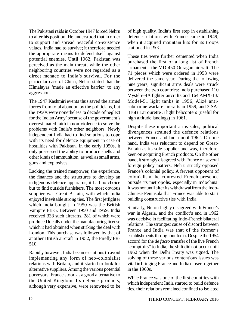The Pakistani raids in October 1947 forced Nehru to alter his position. He understood that in order to support and spread peaceful co-existence values, India had to survive; it therefore needed the appropriate means to defend itself against potential enemies. Until 1962, Pakistan was perceived as the main threat, while the other neighboring countries were not regarded as a direct menace to India's survival. For the particular case of China, Nehru stated that the Himalayas 'made an effective barrier' to any aggression.

The 1947 Kashmiri events thus saved the armed forces from total abandon by the politicians, but the 1950s were nonetheless 'a decade of neglect for the Indian Army' because of the government's overestimated faith in non-violence to solve the problems with India's other neighbors. Newly independent India had to find solutions to cope with its need for defence equipment in case of hostilities with Pakistan. In the early 1950s, it only possessed the ability to produce shells and other kinds of ammunition, as well as small arms, guns and explosives.

Lacking the trained manpower, the experience, the finances and the structures to develop an indigenous defence apparatus, it had no choice but to find outside furnishers. The most obvious supplier was Great-Britain, with which India enjoyed inevitable strong ties. The first jetfighter which India bought in 1950 was the British Vampire FB-5. Between 1950 and 1959, India received 333 such aircrafts, 281 of which were produced locally under the manufacturing license which it had obtained when striking the deal with London. This purchase was followed by that of another British aircraft in 1952, the Firefly FR-510.

Rapidly however, India became cautious to avoid implementing any form of neo-colonialist relations with Britain, and it started to look for alternative suppliers. Among the various potential purveyors, France stood as a good alternative to the United Kingdom. Its defence products, although very expensive, were renowned to be

of high quality. India's first step in establishing defence relations with France came in 1949, when it acquired mountain kits for its troops stationed in J&K.

These ties were further cemented when India purchased the first of a long list of French armaments: the MD-450 Ouragan aircraft. The 71 pieces which were ordered in 1953 were delivered the same year. During the following nine years, significant arms deals were struck between the two countries: India purchased 110 Mystère-4A fighter aircrafts and 164 AMX-13/ Model-51 light tanks in 1956, Alizé antisubmarine warfare aircrafts in 1959, and 3 SA-316B LaTourette 3 light helicopters (useful for high altitude landings) in 1961.

Despite these important arms sales, political divergences strained the defence relations between France and India until 1962. On one hand, India was reluctant to depend on Great-Britain as its sole supplier and was, therefore, keen on acquiring French products. On the other hand, it strongly disagreed with France on several foreign policy matters. Nehru strictly opposed France's colonial policy. A fervent opponent of colonialism, he contested French presence outside its metropolis, especially in Indochina. It was not until after its withdrawal from the Indo-Chinese Peninsula that France was able to start building constructive ties with India.

Similarly, Nehru highly disagreed with France's war in Algeria, and the conflict's end in 1962 was decisive in facilitating Indo-French bilateral relations. The strongest cause of discord between France and India was that of the former's establishments throughout India. Despite the 1954 accord for the *de facto* transfer of the five French "comptoirs" to India, the shift did not occur until 1962 when the Delhi Treaty was signed. The solving of these various contentious issues was vital in bringing France and India closer together in the 1960s.

While France was one of the first countries with which independent India started to build defence ties, their relations remained confined to isolated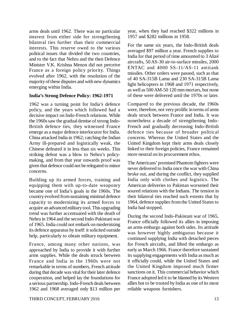arms deals until 1962. There was no particular interest from either side for strengthening bilateral ties further than their commercial interests. This reserve owed to the various political issues that divided the two countries, and to the fact that Nehru and the then Defence Minister V.K. Krishna Menon did not perceive France as a foreign policy priority. Things evolved after 1962, with the resolution of the majority of these disputes and with new dynamics emerging within India.

### **India's Strong Defence Policy: 1962-1971**

1962 was a turning point for India's defence policy, and the years which followed had a decisive impact on Indo-French relations. While the 1960s saw the gradual demise of strong Indo-British defence ties, they witnessed France emerge as a major defence interlocutor for India. China attacked India in 1962; catching the Indian Army ill-prepared and logistically weak, the Chinese defeated it in less than six weeks. This striking defeat was a blow to Nehru's policymaking, and from that year onwards proof was given that defence could not be relegated to minor concerns.

Building up its armed forces, training and equipping them with up-to-date weaponry became one of India's goals in the 1960s. The country evolved from sustaining minimal defence capacity to modernizing its armed forces to acquire an advanced military tool. This upgrading trend was further accentuated with the death of Nehru in 1964 and the second Indo-Pakistani war of 1965. India could not embark on modernizing its defence apparatus by itself: it solicited outside help, particularly to obtain military equipment.

France, among many other nations, was approached by India to provide it with further arms supplies. While the deals struck between France and India in the 1960s were not remarkable in terms of numbers, French attitude during that decade was vital for their later defence cooperation, and helped lay the foundations for a serious partnership. Indo-French deals between 1962 and 1968 averaged only \$13 million per

year, when they had reached \$322 millions in 1957 and \$282 millions in 1958.

For the same six years, the Indo-British deals averaged \$97 million a year. French supplies to India for that period of time amounted to 3 Alizé aircrafts, 50 AS-30 air-to-surface missiles, 2000 ENTAC and 4000 SS-11/AS-11 antitank missiles. Other orders were passed, such as that of 40 SA-315B Lama and 230 SA-315B Lama light helicopters in 1968 and 1971 respectively, as well as 500 AM-50 120 mm mortars, but none of these were delivered until the 1970s or later.

Compared to the previous decade, the 1960s were, therefore, not very prolific in terms of arms deals struck between France and India. It was nonetheless a decade of strengthening Indo-French and gradually decreasing Indo-British defence ties because of broader political concerns. Whereas the United States and the United Kingdom kept their arms deals closely linked to their foreign policies, France remained more neutral on its procurement ethos.

The Americans' promised Phantom fighters were never delivered to India once the war with China broke out, and during the conflict, they supplied India only with clothes and logistics. The American deliveries to Pakistan worsened their soured relations with the Indians. The tension in their bilateral ties reached such extents that by 1964, defence supplies from the United States to India had stopped.

During the second Indo-Pakistani war of 1965, France officially followed its allies in imposing an arms embargo against both sides. Its attitude was however highly ambiguous because it continued supplying India with detached pieces for French aircrafts, and lifted the embargo as early as March 1966. France therefore sustained its supplying engagements with India as much as it officially could, while the United States and the United Kingdom imposed much firmer sanctions on it. This commercial behavior which France adopted led it to be blamed by its Western allies but to be trusted by India as one of its most reliable weapons furnishers.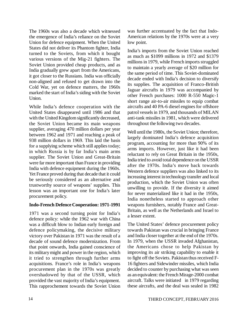The 1960s was also a decade which witnessed the emergence of India's reliance on the Soviet Union for defence equipment. When the United States did not deliver its Phantom fighter, India turned to the Soviets, from which it bought various versions of the Mig-21 fighters. The Soviet Union provided cheap products, and as India gradually grew apart from the Americans, it got closer to the Russians. India was officially non-aligned and refused to get drawn into the Cold War, yet on defence matters, the 1960s marked the start of India's siding with the Soviet Union.

While India's defence cooperation with the United States disappeared until 1986 and that with the United Kingdom significantly decreased, the Soviet Union became its main weapons supplier, averaging 470 million dollars per year between 1962 and 1971 and reaching a peak of 938 million dollars in 1969. This laid the basis for a supplying scheme which still applies today; in which Russia is by far India's main arms supplier. The Soviet Union and Great-Britain were far more important than France in providing India with defence equipment during the 1960s. Yet France proved during that decade that it could be seriously considered as an alternative and trustworthy source of weapons' supplies. This lesson was an important one for India's later procurement policy.

## **Indo-French Defence Cooperation: 1971-1991**

1971 was a second turning point for India's defence policy: while the 1962 war with China was a difficult blow to Indian early foreign and defence policymaking, the decisive military victory over Pakistan in 1971 was the result of a decade of sound defence modernization. From that point onwards, India gained conscience of its military might and power in the region, which it tried to strengthen through further arms acquisitions. France's role in India's weapons procurement plan in the 1970s was greatly overshadowed by that of the USSR, which provided the vast majority of India's equipment. This rapprochement towards the Soviet Union

was further accentuated by the fact that Indo-American relations by the 1970s were at a very low point.

India's imports from the Soviet Union reached as much as \$1099 millions in 1972 and \$1379 millions in 1979, while French imports struggled to maintain a yearly average of \$20 million for the same period of time. This Soviet-dominated decade ended with India's decision to diversify its supplies. The acquisition of Franco-British Jaguar aircrafts in 1979 was accompanied by other French purchases: 1000 R-550 Magic-1 short range air-to-air missiles to equip combat aircrafts and 40 PA-6 diesel engines for offshore patrol vessels in 1979, and thousands of MILAN anti-tank missiles in 1981, which were delivered throughout the following two decades.

Well until the 1980s, the Soviet Union; therefore, largely dominated India's defence acquisition program, accounting for more than 90% of its arms imports. However, just like it had been reluctant to rely on Great Britain in the 1950s, India tried to avoid total dependence on the USSR after the 1970s. India's move back towards Western defence suppliers was also linked to its increasing interest in technology transfer and local production, which the Soviet Union was often unwilling to provide. If the diversity it aimed for never materialized like it had in the 1950s, India nonetheless started to approach other weapons furnishers, notably France and Great-Britain, as well as the Netherlands and Israel to a lesser extent.

The United States' defence procurement policy towards Pakistan was crucial in bringing France and India closer together at the end of the 1970s. In 1979, when the USSR invaded Afghanistan, the Americans chose to help Pakistan by improving its air striking capability to enable it to fight off the Soviets. Pakistan thus received F-16 fighters and Sidewinder missiles, which India decided to counter by purchasing what was seen as an equivalent: the French Mirage-2000 combat aircraft. Talks were initiated in 1979 regarding these aircrafts, and the deal was sealed in 1982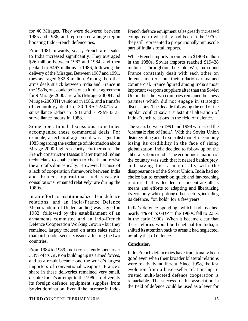for 40 Mirages. They were delivered between 1985 and 1986, and represented a huge step in boosting Indo-French defence ties.

From 1981 onwards, yearly French arms sales to India increased significantly. They averaged \$26 million between 1982 and 1984, and then peaked to \$467 millions in 1986, following the delivery of the Mirages. Between 1987 and 1991, they averaged \$82.8 million. Among the other arms deals struck between India and France in the 1980s, one could point out a further agreement for 9 Mirage-2000 aircrafts (Mirage-2000H and Mirage-2000TH versions) in 1986, and a transfer of technology deal for 30 TRS-2230/15 air surveillance radars in 1983 and 7 PSM-33 air surveillance radars in 1988.

Some operational discussions sometimes accompanied these commercial deals. For example, a technical agreement was signed in 1985 regarding the exchange of information about Mirage-2000 flights security. Furthermore, the French constructor Dassault later trained Indian technicians to enable them to check and revise the aircrafts domestically. However, because of a lack of cooperation framework between India and France, operational and strategic consultations remained relatively rare during the 1980s.

In an effort to institutionalize their defence relations, and an India-France Defence Memorandum of Understanding was signed in 1982, followed by the establishment of an armaments committee and an Indo-French Defence Cooperation Working Group - but they remained largely focused on arms sales rather than on broader security issues affecting the two countries.

From 1984 to 1989, India consistently spent over 3.3% of its GDP on building up its armed forces, and as a result became one the world's largest importers of conventional weapons. France's share in these deliveries remained very small, despite India's attempt in the 1980s to diversify its foreign defence equipment supplies from Soviet domination. Even if the increase in IndoFrench defence equipment sales greatly increased compared to what they had been in the 1970s, they still represented a proportionally minuscule part of India's total imports.

While French imports amounted to \$1403 million in the 1980s, Soviet imports reached \$19428 millions. Throughout the Cold War, India and France constantly dealt with each other on defence matters, but their relations remained commercial. France figured among India's most important weapons suppliers after than the Soviet Union, but the two countries remained business partners which did not engage in strategic discussions. The decade following the end of the bipolar conflict saw a substantial alteration of Indo-French relations in the field of defence.

The years between 1991 and 1998 witnessed the 'dramatic rise of India'. With the Soviet Union disintegrating and the socialist model of economy losing its credibility in the face of rising globalization, India decided to follow up on the "liberalization trend". The economic situation of the country was such that it neared bankruptcy, and having lost a major ally with the disappearance of the Soviet Union, India had no choice but to embark on quick and far-reaching reforms. It thus decided to concentrate all its means and efforts to adapting and liberalizing its economy, while putting other sectors, including its defence, "on hold" for a few years.

India's defence spending, which had reached nearly 4% of its GDP in the 1980s, fell to 2.5% in the early 1990s. When it became clear that these reforms would be beneficial for India, it shifted its attention back to areas it had neglected, notably that of defence.

### **Conclusion**

Indo-French defence ties have traditionally been good even when their broader bilateral relations were relatively indifferent. Since 1998, the fast evolution from a buyer-seller relationship to trusted multi-faceted defence cooperation is remarkable. The success of this association in the field of defence could be used as a lever for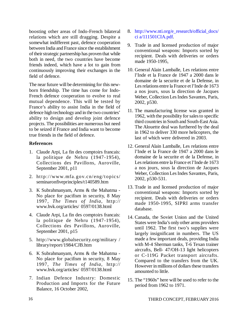boosting other areas of Indo-French bilateral relations which are still dragging. Despite a somewhat indifferent past, defence cooperation between India and France since the establishment of their strategic partnership has proven that while both in need, the two countries have become friends indeed, which have a lot to gain from continuously improving their exchanges in the field of defence.

The near future will be determining for this newborn friendship. The time has come for Indo-French defence cooperation to evolve to real mutual dependence. This will be tested by France's ability to assist India in the field of defence high technology and in the two countries' ability to design and develop joint defence projects. The possibilities are numerous but need to be seized if France and India want to become true friends in the field of defence.

## **References**

- 1. Claude Arpi, La fin des comptoirs francais: la politique de Nehru (1947-1954), Collections des Pavillons, Auroville, September 2001, p11
- 2. http://www.mfa.gov.cn/eng/topics/ seminaronfiveprinciples/t140589.htm
- 3. K Subrahmanyam, Arms & the Mahatma No place for pacifism in security, 8 May 1997, *The Times of India*, http:// [www.hvk.org/articles/](http://www.hvk.org/articles/) 0597/0138.html
- 4. Claude Arpi, La fin des comptoirs francais: la politique de Nehru (1947-1954), Collections des Pavillons, Auroville, September 2001, p15
- 5. <http://www.globalsecurity.org/military> / library/report/1984/CJB.htm
- 6. K Subrahmanyam, Arms & the Mahatma No place for pacifism in security, 8 May 1997, *The Times of India*, http:// [www.hvk.org/articles/](http://www.hvk.org/articles/) 0597/0138.html
- 7. Indian Defence Industry: Domestic Production and Imports for the Future Balance, 16 October 2002,
- 8. [http://www.nti.org/e\\_research/official\\_docs/](http://www.nti.org/e_research/official_docs/) ci a/111501CIA.pdf.
- 9. Trade in and licensed production of major conventional weapons: Imports sorted by recipient. Deals with deliveries or orders made 1950-1995,
- 10. General Alain Lamballe, Les relations entre l'Inde et la France de 1947 a 2000 dans le domaine de la securite et de la Defense, in Les relations entre la France et l'Inde de 1673 a nos jours, sous la direction de Jacques Weber, Collection Les Indes Savantes, Paris, 2002, p530.
- 11. The manufacturing license was granted in 1962, with the possibility for sales to specific third countries in South and South-East Asia. The Alouette deal was furthered by the deal in 1962 to deliver 330 more helicopters, the last of which were delivered in 2003.
- 12. General Alain Lamballe, Les relations entre l'Inde et la France de 1947 a 2000 dans le domaine de la securite et de la Defense, in Les relations entre la France et l'Inde de 1673 a nos jours, sous la direction de Jacques Weber, Collection Les Indes Savantes, Paris, 2002, p530-531.
- 13. Trade in and licensed production of major conventional weapons: Imports sorted by recipient. Deals with deliveries or orders made 1950-1995, SIPRI arms transfer database.
- 14. Canada, the Soviet Union and the United States were India's only other arms providers until 1962. The first two's supplies were largely insignificant in numbers. The US made a few important deals, providing India with M-4 Sherman tanks, T-6 Texan trainer aircrafts, Bell- 47/OH-13 light helicopters or C-119G Packet transport aircrafts. Compared to the transfers from the UK. However in millions of dollars these transfers amounted to little.
- 15. The "1960s" here will be used to refer to the period from 1962 to 1971.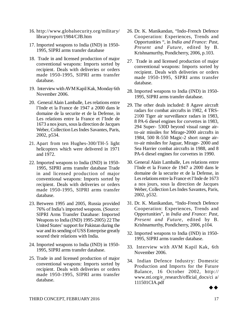- 16. http://www.globalsecurity.org/military/ library/report/1984/CJB.htm
- 17. Imported weapons to India (IND) in 1950- 1995, SIPRI arms transfer database
- 18. Trade in and licensed production of major conventional weapons: Imports sorted by recipient. Deals with deliveries or orders made 1950-1995, SIPRI arms transfer database.
- 19. Interview with AVM Kapil Kak, Monday 6th November 2006.
- 20. General Alain Lamballe, Les relations entre l'Inde et la France de 1947 a 2000 dans le domaine de la securite et de la Defense, in Les relations entre la France et l'Inde de 1673 a nos jours, sous la direction de Jacques Weber, Collection Les Indes Savantes, Paris, 2002, p534.
- 21. Apart from ten Hughes-300/TH-5 light helicopters which were delivered in 1971 and 1972.
- 22. Imported weapons to India (IND) in 1950- 1995, SIPRI arms transfer database Trade in and licensed production of major conventional weapons: Imports sorted by recipient. Deals with deliveries or orders made 1950-1995, SIPRI arms transfer database.
- 23. Between 1995 and 2005, Russia provided 76% of India's imported weapons. (Source: SIPRI Arms Transfer Database: Imported Weapons to India (IND) 1995-2005) 22 The United States' support for Pakistan during the war and its sending of USS Enterprise greatly soured their relations with India.
- 24. Imported weapons to India (IND) in 1950- 1995, SIPRI arms transfer database.
- 25. Trade in and licensed production of major conventional weapons: Imports sorted by recipient. Deals with deliveries or orders made 1950-1995, SIPRI arms transfer database.
- 26. Dr. K. Manikandan, "Indo-French Defence Cooperation: Experiences, Trends and Opportunities ", in *India and France: Past, Present and Future*, edited by B. Krishnamurthy, Pondicherry, 2006, p.103.
- 27. Trade in and licensed production of major conventional weapons: Imports sorted by recipient. Deals with deliveries or orders made 1950-1995, SIPRI arms transfer database.
- 28. Imported weapons to India (IND) in 1950- 1995, SIPRI arms transfer database.
- 29. The other deals included: 8 Agave aircraft radars for combat aircrafts in 1982, 4 TRS-2100 Tiger air surveillance radars in 1983, 8 PA-6 diesel engines for corvettes in 1983, 294 Super- 530D beyond visual range airto-air missiles for Mirage-2000 aircrafts in 1984, 500 R-550 Magic-2 short range airto-air missiles for Jaguar, Mirage- 2000 and Sea Harrier combat aircrafts in 1988, and 8 PA-6 diesel engines for corvettes in 1990.
- 30. General Alain Lamballe, Les relations entre l'Inde et la France de 1947 a 2000 dans le domaine de la securite et de la Defense, in Les relations entre la France et l'Inde de 1673 a nos jours, sous la direction de Jacques Weber, Collection Les Indes Savantes, Paris, 2002, p532.
- 31. Dr. K. Manikandan, "Indo-French Defence Cooperation: Experiences, Trends and Opportunities", in *India and France: Past, Present and Future*, edited by B. Krishnamurthy, Pondicherry, 2006, p104.
- 32. Imported weapons to India (IND) in 1950- 1995, SIPRI arms transfer database.
- 33. Interview with AVM Kapil Kak, 6th November 2006.
- 34. Indian Defence Industry: Domestic Production and Imports for the Future Balance, 16 October 2002, http:// [www.nti.org/e\\_research/official\\_docs/ci](http://www.nti.org/e_research/official_docs/ci) a/ 111501CIA.pdf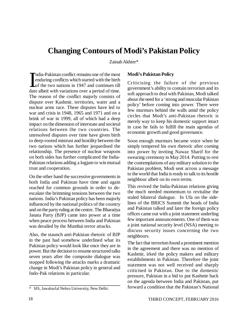# **Changing Contours of Modi's Pakistan Policy**

Zainab Akhter\*

India-Pakistan conflict remains one of the most<br>enduring conflicts which started with the birth<br>of the two nations in 1947 and continues till<br>date albeit with variations over a period of time. ndia-Pakistan conflict remains one of the most enduring conflicts which started with the birth of the two nations in 1947 and continues till The reason of the conflict majorly consists of dispute over Kashmir, territories, water and a nuclear arms race. These disputes have led to war and crisis in 1948, 1965 and 1971 and on a brink of war in 1999, all of which had a deep impact on the dimension of interstate and societal relations between the two countries. The unresolved disputes over time have given birth to deep-rooted mistrust and hostility between the two nations which has further jeopardised the relationship. The presence of nuclear weapons on both sides has further complicated the India-Pakistan relations adding a logjam to win mutual trust and cooperation.

On the other hand the successive governments in both India and Pakistan have time and again reached for common grounds in order to deescalate the brimming tensions between the two nations. India's Pakistan policy has been majorly influenced by the national politics of the country and on the party ruling at the centre. The Bharatiya Janata Party (BJP) came into power at a time when peace process between India and Pakistan was derailed by the Mumbai terror attacks.

Also, the staunch anti-Pakistan rhetoric of BJP in the past had somehow underlined what its Pakistan policy would look like once they are in power. But the decision to resume structured talks seven years after the composite dialogue was stopped following the attacks marks a dramatic change in Modi's Pakistan policy in general and Indo-Pak relations in particular.

### **Modi's Pakistan Policy**

Criticising the failure of the previous government's ability to contain terrorism and its soft approach to deal with Pakistan, Modi talked about the need for a 'strong and muscular Pakistan policy' before coming into power. There were few murmurs behind the walls amid the policy circles that Modi's anti-Pakistan rhetoric is merely way to keep his domestic support intact in case he fails to fulfill the main agendas of economic growth and good governance.

Soon enough murmurs became voice when he simply tempered his own rhetoric after coming into power by inviting Nawaz Sharif for the swearing ceremony in May 2014. Putting to rest the contemplations of any military solution to the Pakistan problem, Modi sent across a message to the world that India is ready to talk to its hostile neighbour albeit on its own terms.

This revived the India-Pakistan relations giving the much needed momentum to revitalise the staled bilateral dialogue. In Ufa on the sidelines of the BRICS Summit the heads of India and Pakistan talked and later the foreign policy offices came out with a joint statement underling few important announcements. One of them was a joint national security level (NSA) meeting to discuss security issues concerning the two neighbours.

The fact that terrorism found a prominent mention in the agreement and there was no mention of Kashmir, irked the policy makers and military establishments in Pakistan. Therefore the joint statement was not well received and sharply criticised in Pakistan. Due to the domestic pressure, Pakistan in a bid to put Kashmir back on the agenda between India and Pakistan, put forward a condition that the Pakistan's National

<sup>\*</sup> SIS, Jawaharlal Nehru University, New Delhi.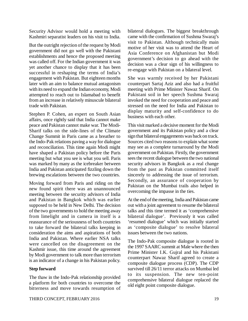Security Advisor would hold a meeting with Kashmiri separatist leaders on his visit to India.

But the outright rejection of the request by Modi government did not go well with the Pakistani establishments and hence the proposed meeting was called off. For the Indian government it was yet another chance to display that it has been successful in reshaping the terms of India's engagement with Pakistan. But eighteen months later with an aim to balance mutual antagonism with its need to expand the Indian economy, Modi attempted to reach out to Islamabad to benefit from an increase in relatively minuscule bilateral trade with Pakistan.

Stephen P. Cohen, an expert on South Asian affairs, once rightly said that India cannot make peace and Pakistan cannot make war. The Modi-Sharif talks on the side-lines of the Climate Change Summit in Paris came as a breather to the Indo-Pak relations paving a way for dialogue and reconciliation. This time again Modi might have shaped a Pakistan policy before the Paris meeting but what you see is what you sell. Paris was marked by many as the icebreaker between India and Pakistan anticipated fizzling down the brewing escalations between the two countries.

Moving forward from Paris and riding on the new found spirit there was an unannounced meeting between the security advisors of India and Pakistan in Bangkok which was earlier supposed to be held in New Delhi. The decision of the two governments to hold the meeting away from limelight and in camera in itself is a reassurance of the seriousness of both countries to take forward the bilateral talks keeping in consideration the aims and aspirations of both India and Pakistan. Where earlier NSA talks were cancelled on the disagreement on the Kashmir issue, this time around the agreement by Modi government to talk more than terrorism is an indicator of a change in his Pakistan policy.

### **Step forward**

The thaw in the Indo-Pak relationship provided a platform for both countries to overcome the bitterness and move towards resumption of

bilateral dialogues. The biggest breakthrough came with the confirmation of Sushma Swaraj's visit to Pakistan. Although technically main motive of her visit was to attend the Heart of Asia Conference on Afghanistan but Modi government's decision to go ahead with the decision was a clear sign of his willingness to re-engage with Pakistan on a bilateral level.

She was warmly received by her Pakistani counterpart Sartaj Aziz and also had a fruitful meeting with Prime Minister Nawaz Sharif. On Pakistani soil in her speech Sushma Swaraj invoked the need for cooperation and peace and stressed on the need for India and Pakistan to display maturity and self-confidence to do business with each other.

This visit marked a decisive moment for the Modi government and its Pakistan policy and a clear sign that bilateral engagements was back on track. Sources cited two reasons to explain what some may see as a complete turnaround by the Modi government on Pakistan. Firstly, the government sees the recent dialogue between the two national security advisors in Bangkok as a real change from the past as Pakistan committed itself sincerely to addressing the issue of terrorism. Secondly, an assurance of cooperation by Pakistan on the Mumbai trails also helped in overcoming the impasse in the ties.

At the end of the meeting, India and Pakistan came out with a joint agreement to resume the bilateral talks and this time termed it as 'comprehensive bilateral dialogue'. Previously it was called 'resumed dialogue' which was initially started as 'composite dialogue' to resolve bilateral issues between the two nations.

The Indo-Pak composite dialogue is rooted in the 1997 SAARC summit at Male where the then Prime Minister I.K. Gujral and his Pakistani counterpart Nawaz Sharif agreed to create a composite dialogue process (CDP). The CDP survived till 26/11 terror attacks on Mumbai led to its suspension. The new ten-point comprehensive bilateral dialogue replaced the old eight point composite dialogue.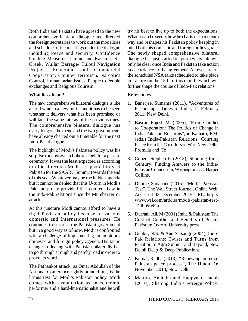Both India and Pakistan have agreed to the new comprehensive bilateral dialogue and directed the foreign secretaries to work out the modalities and schedule of the meetings under the dialogue including Peace and security, Confidence building Measures, Jammu and Kashmir, Sir Creek, Wullar Barrage/ Tulbul Navigation Project, Economic and Commercial Cooperation, Counter Terrorism, Narcotics Control, Humanitarian Issues, People to People exchanges and Religious Tourism.

## **What lies ahead?**

The new comprehensive bilateral dialogue is like an old wine in a new bottle and it has to be seen whether it delivers what has been promised or will face the same fate as of the previous ones. The comprehensive bilateral dialogue has everything on the menu and the two governments have already charted out a timetable for the next Indo-Pak dialogue.

The highlight of Modi's Pakistan policy was his surprise touchdown in Lahore albeit for a private ceremony. It was the least expected as according to official records Modi is supposed to visit Pakistan for the SAARC Summit towards the end of this year. Whatever may be the hidden agenda but it cannot be denied that this U-turn in Modi's Pakistan policy provided the required thaw in the Indo-Pak relations since the Mumbai terror attacks.

At this juncture Modi cannot afford to have a rigid Pakistan policy because of various domestic and International pressures. He continues to surprise the Pakistani government but in a good way as of now. Modi is confronted with a challenge of implementing an ambitious domestic and foreign policy agenda. His tactic change in dealing with Pakistan bilaterally has to go through a rough and patchy road in order to prove its worth.

The Pathankot attack, as Omar Abdullah of the National Conference rightly pointed out, is the litmus test for Modi's Pakistan policy. Modi comes with a reputation as an economic performer and a hard-line nationalist and he will try his best to live up to both the expectations. What has to be seen is how he charts out a medium way and reshapes his Pakistan policy keeping in mind both his domestic and foreign policy goals. The newly shaped comprehensive bilateral dialogue has just started its journey; its fate will only be clear once India and Pakistan take action in accordance to the agreement. All eyes are on the scheduled NSA talks scheduled to take place in Lahore on the 15th of this month, which will further shape the course of Indo-Pak relations.

## **References**

- 1. Banerjee, Sumanta (2011), "Adventures of Friendship", Times of India, 14 February 2011, New Delhi.
- 2. Basrur, Rajesh M. (2005), "From Conflict to Cooperation: The Politics of Change in India-Pakistan Relations", in Kamath, P.M. (eds.) India-Pakistan Relations: Courting Peace from the Corridors of War, New Delhi: Promilla and Co.
- 3. Cohen, Stephen P. (2013), Shooting for a Century: Finding Answers to the India-Pakistan Conundrum, Washington DC: Harper Collins.
- 4. Dhume, Sadanand (2015), "Modi's Pakistan Test", The Wall Street Journal, Online Web: Accessed 02 December 2015 URL: <http://> [www.wsj.com/articles/modis-pakistan-test-](http://www.wsj.com/articles/modis-pakistan-test-)1440696946
- 5. Durrani, Ali. M (2001) India & Pakistan: The Cost of Conflict and Benefits of Peace, Pakistan: Oxford University press.
- 6. Gehlot, N.S. & Anu Satsangi (2004), Indo-Pak Relations: Twists and Turns from Partition to Agra Summit and Beyond, New Delhi: Deep & Deep Publications.
- 7. Kumar, Radha (2013), "Renewing an India-Pakistan peace process", The Hindu, 16 November 2013, New Delhi.
- 8. Mattoo, Amitabh and Happymon Jacob (2010), Shaping India's Foreign Policy: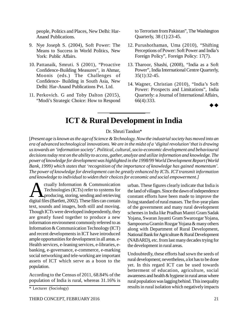people, Politics and Places, New Delhi: Har-Anand Publications.

- 9. Nye Joseph S. (2004), Soft Power: The Means to Success in World Politics, New York: Public Affairs.
- 10. Pattanaik, Smruti. S (2001), "Proactive Confidence-Building Measures", in Ahmar, Moonis (eds.) The Challenges of Confidence- Building in South Asia, New Delhi: Har-Anand Publications Pvt. Ltd.
- 11. Perkovich. G and Toby Dalton (2015), "Modi's Strategic Choice: How to Respond

to Terrorism from Pakistan", The Washington Quarterly, 38 (1):23-45.

- 12. Purushothaman, Uma (2010), "Shifting Perceptions of Power: Soft Power and India's Foreign Policy", Foreign Policy: 17(7).
- 13. Tharoor, Shashi, (2008), "India as a Soft Power", India International Centre Quarterly, 35(1):32-45.
- 14. Wagner, Christian (2010), "India's Soft Power: Prospects and Limitations", India Quarterly: a Journal of International Affairs, 66(4):333.

# $\rightarrow \rightarrow$

# **ICT & Rural Development in India**

Dr. Shruti Tandon\*

[*Present age is known as the age of Science & Technology. Now the industrial society has moved into an era of advanced technological innovations. We are in the midst of a 'digital revolution' that is drawing us towards an 'information society'. Political, cultural, socio-economic development and behavioural decisions today rest on the ability to access, gather, analyze and utilize information and knowledge. The power of knowledge for development was highlighted in the 1998/99 World Development Report (World Bank, 1999) which states that 'recognition of the importance of knowledge has gained momentum'. The power of knowledge for development can be greatly enhanced by ICTs. ICT transmit information and knowledge to individual to widen their choices for economic and social empowerment.]*

ctually Information & Communication<br>Technologies (ICTs) refer to systems for<br>producing, storing, sending and retrieving<br>digital files (Bartlett, 2002). These files can contain ctually Information & Communication Technologies (ICTs) refer to systems for **L** producing, storing, sending and retrieving text, sounds and images, both still and moving. Though ICTs were developed independently, they are greatly fused together to produce a new information environment commonly referred to as Information & Communication Technology (ICT) and recent developments in ICT have introduced ample opportunities for development in all areas. e-Health services, e-leaning services, e-libraries, ebanking, e-governance, e-commerce, e-marking social networking and tele-working are important assets of ICT which serve as a boon to the population.

According to the Census of 2011, 68.84% of the population of India is rural, whereas 31.16% is

urban. These figures clearly indicate that India is the land of villages. Since the dawn of independence constant efforts have been made to improve the living standard of rural masses. The five-year plans of the government and many rural development schemes in India like Pradhan Mantri Gram Sadak Yojana, Swaran Jayanti Gram Swarozgar Yojana, Sampoorna Gramin Rozgar Yojana & many others along with Department of Rural Development, National Bank for Agriculture & Rural Development (NABARD), etc. from last many decades trying for the development in rural areas.

Undoubtedly, these efforts had sown the seeds of rural development; nevertheless, a lot has to be done yet. In this regard ICT can be used towards betterment of education, agriculture, social awareness and health & hygiene in rural areas where rural population was lagging behind. This inequality results in rural isolation which negatively impacts

<sup>\*</sup> Lecturer (Sociology)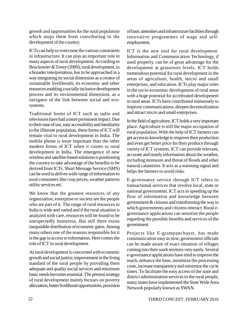growth and opportunities for the rural population which stops them from contributing to the development of the country.

ICTs can help to overcome the various constraints in infrastructure. It can play an important role in many aspects of rural development. According to Bruckmeier & Tovey (2009), rural development, in a broader interpretation, has to be approached in a way integrating its social dimension as a creator of sustainable livelihoods; its economic and other resources enabling a socially inclusive development process and its environmental dimension, as a navigator of the link between social and ecosystems.

Traditional forms of ICT such as radio and televisions have had a more prominent impact. Due to their ease of use, easy accessibility and familiarity to the illiterate population, these forms of ICT will remain vital to rural development in India. The mobile phone is more important than the other modern forms of ICT when it comes to rural development in India. The emergence of new wireless and satellite-based solutions is positioning the country to take advantage of the benefits to be derived from ICTs. Short Message Service (SMS) can be used to deliver wide range of information to rural consumers like crop prices, weather patterns utility services etc.

We know that the greatest resources of any organization, enterprise or society are the people who are part of it. The range of rural resources in India is wide and varied and if the rural situation is analyzed with care, resources will be found to be unexpectedly numerous. But still there exists inequitable distribution of economic gains. Among many others one of the reasons responsible for it is the gap in access to information. Here comes the role of ICT in rural development.

As rural development is concerned with economic growth and social justice, improvement in the living standard of the rural people by providing them adequate and quality social services and minimum basic needs becomes essential. The present strategy of rural development mainly focuses on poverty alleviation, better livelihood opportunities, provision

of basic amenities and infrastructure facilities through innovative programmes of wage and selfemployment.

ICT is the new tool for rural development. Information and Communication Technology, if used properly, can be of great advantage for the development at grassroots levels. ICT holds tremendous potential for rural development in the areas of agriculture, health, micro and small enterprises, and education. ICTs play major roles in the socio-economic development of rural areas with a huge potential for accelerated development in rural areas. ICTs have contributed immensely to improve communications, deepen decentralization and attract micro and small enterprises.

In the field of agriculture, ICT holds a very important place. Agriculture is still the major occupation of rural population. With the help of ICT farmers can get access to knowledge to improve their production and even get better price for their produce through variety of ICT systems. ICT can provide relevant, accurate and timely information about the weather, including monsoon and threat of floods and other natural calamities. It acts as a warming signal and helps the farmers to avoid risks.

E-governance service through ICT refers to transactional services that involve local, state or national governments. ICT acts in speeding up the flow of information and knowledge between government & citizens and transforming the way in which governments and citizens interact. Rural egovernance applications can sensitize the people regarding the possible benefits and services of the government.

Projects like E-grampanchayat, has made communication easy as now, government officials can be made aware of exact situation of villages coming into their work territory very easily. Several e-governance applications have tried to improve the reach, enhance the base, minimize the processing costs, increase transparency and minimize the cycle times. To facilitate the easy access of the state and district administration services to the rural people, many states have implemented the State Wide Area Network popularly known as SWAN.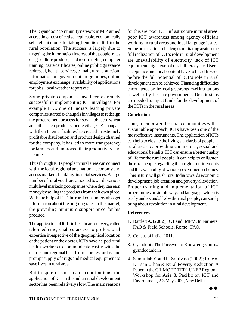The 'Gyandoot' community network in M.P. aimed at creating a cost effective, replicable, economically self-reliant model for taking benefits of ICT to the rural population. The success is largely due to targeting the information interest of the people: rates of agriculture produce, land record rights, computer training, caste certificates, online public grievance redressal, health services, e-mail, rural e-auction, information on government programmes, online employment exchange, availability of applications for jobs, local weather report etc.

Some private companies have been extremely successful in implementing ICT in villages. For example ITC, one of India's leading private companies started e-chaupals in villages to redesign the procurement process for soya, tobacco, wheat and other such products for the villages. E-chaupals with their Internet facilities has created an extremely profitable distribution and product design channel for the company. It has led to more transparency for farmers and improved their productivity and incomes.

Thus through ICTs people in rural areas can connect with the local, regional and national economy and access markets, banking/financial services. A large number of rural youth are attracted towards various multilevel marketing companies where they can earn money by selling the products from their own place. With the help of ICT the rural consumers also get information about the ongoing rates in the market, the prevailing minimum support price for his produce.

The application of ICTs to healthcare delivery, called tele-medicine, enables access to professional expertise irrespective of the geographical location of the patient or the doctor. ICTs have helped rural health workers to communicate easily with the district and regional health directorates for fast and prompt supply of drugs and medical equipment to save lives in rural area.

But in spite of such major contributions, the application of ICT in the Indian rural development sector has been relatively slow. The main reasons for this are: poor ICT infrastructure in rural areas, poor ICT awareness among agency officials working in rural areas and local language issues. Some other serious challenges militating against the full realization of ICT's role in rural development are unavailability of electricity, lack of ICT equipment, high level of rural illiteracy etc. Users' acceptance and local content have to be addressed before the full potential of ICT's role in rural development can be achieved. Financing difficulties encountered by the local grassroots level institutions as well as by the state governments. Drastic steps are needed to inject funds for the development of the ICTs in the rural areas.

## **Conclusion**

Thus, to empower the rural communities with a sustainable approach, ICTs have been one of the most effective instruments. The application of ICTs can help to elevate the living standards of people in rural areas by providing commercial, social and educational benefits. ICT can ensure a better quality of life for the rural people. It can help to enlighten the rural people regarding their rights, entitlements and the availability of various government schemes. This in turn will push rural India towards economic development, job creation and poverty alleviation. Proper training and implementation of ICT programmes in simple way and language, which is easily understandable by the rural people, can surely bring about revolution in rural development.

## **References**

- 1. Bartlett A. (2002); ICT and IMPM. In Farmers, FAO & Field Schools. Rome : FAO.
- 2. Census of India, 2011.
- 3. Gyandoot : The Purveyor of Knowledge.<http://> gyandoot.nic.in
- 4. Samiullah Y. and R. Srinivasa (2002); Role of ICTs in Urban & Rural Poverty Reduction. A Paper in the CII-MOEF-TERI-UNEP Regional Workshop for Asia & Pacific on ICT and Environment, 2-3 May 2000, New Delhi.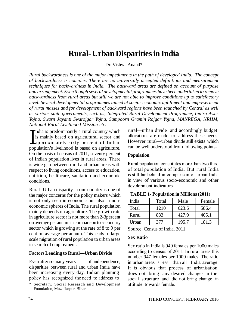# **Rural- Urban Disparities in India**

Dr. Vishwa Anand\*

*Rural backwardness is one of the major impediments in the path of developed India. The concept of backwardness is complex. There are no universally accepted definitions and measurement techniques for backwardness in India. The backward areas are defined on account of purpose and arrangement. Even though several developmental programmes have been undertaken to remove backwardness from rural areas but still we are not able to improve conditions up to satisfactory level. Several developmental programmes aimed at socio- economic upliftment and empowerment of rural masses and for development of backward regions have been launched by Central as well as various state governments, such as, Integrated Rural Development Programme, Indira Awas Yojna, Swarn Jayanti Swarojgar Yojna, Sampoorn Gramin Rojgar Yojna, MANREGA, NRHM, National Rural Livelihood Mission etc.*

 $\prod_{i=1}^{n}$ ndia is predominantly a rural country which is mainly based on agricultural sector and approximately sixty percent of Indian population's livelihood is based on agriculture. On the basis of census of 2011, seventy percent of Indian population lives in rural areas. There is wide gap between rural and urban areas with respect to living conditions, access to education, nutrition, healthcare, sanitation and economic conditions.

Rural- Urban disparity in our country is one of the major concerns for the policy makers which is not only seen in economic but also in noneconomic spheres of India. The rural population mainly depends on agriculture. The growth rate in agriculture sector is not more than 2-3percent on average per annum in comparison to secondary sector which is growing at the rate of 8 to 9 per cent on average per annum. This leads to large scale migration of rural population to urban areas in search of employment.

#### **Factors Leading to Rural—Urban Divide**

Even after so many years of independence, disparities between rural and urban India have been increasing every day. Indian planning policy has recognized the need to address to

rural—urban divide and accordingly budget allocations are made to address these needs. However rural—urban divide still exists which can be well understood from following points-

#### **Population**

Rural population constitutes more than two third of total population of India. But rural India is still far behind in comparison of urban India in view of various socio-economic and other development indicators.

| India | Total | Male  | Female |
|-------|-------|-------|--------|
| Total | 1210  | 623.6 | 586.4  |
| Rural | 833   | 427.9 | 405.1  |
| Urban | 377   | 195.7 | 181.3  |

**TABLE 1- Population in Millions (2011)**

Source: Census of India, 2011

#### **Sex Ratio**

Sex ratio in India is 940 females per 1000 males according to census of 2011. In rural areas this number 947 females per 1000 males. The ratio in urban areas is less than all India average. It is obvious that process of urbanisation does not bring any desired changes in the social structure and did not bring change in attitude towards female.

<sup>\*</sup> Secretary, Social Research and Development Foundation, Muzaffarpur, Bihar.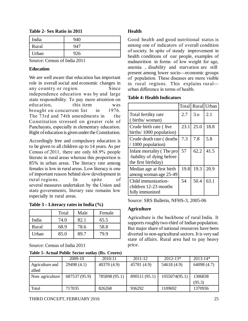| India | 940 |
|-------|-----|
| Rural | 947 |
| Urban | 926 |

### **Table 2- Sex Ratio in 2011**

Source: Census of India 2011

### **Education**

We are well aware that education has important role in overall social and economic changes in any country or region. Since independence education was by and large state responsibility. To pay more attention on<br>education. this item was education, this item was brought on concurrent list in 1976. The 73rd and 74th amendments in the Constitution stressed on greater role of Panchayats, especially in elementary education. Right of education is given under the Constitution.

Accordingly free and compulsory education is to be given to all children up to 14 years. As per Census of 2011, there are only 68.9% people literate in rural areas whereas this proportion is 85% in urban areas. The literacy rate among females is low in rural areas. Low literacy is one of important reason behind slow development in rural regions. In spite of several measures undertaken by the Union and state governments, literary rate remains low especially in rural areas.

### **Table 3 – Literacy rates in India (%)**

|       | Total | Male | Female |
|-------|-------|------|--------|
| India | 74.0  | 82.1 | 65.5   |
| Rural | 68.9  | 78.6 | 58.8   |
| Urban | 85.0  | 89.7 | 79.9   |

Source: Census of India 2011

**Table 5- Actual Public Sector outlay (Rs. Crores)**

## **Health**

Good health and good nutritional status is among one of indicators of overall condition of society. In spite of steady improvement in health conditions of our people, examples of malnutrition in forms of low weight for age, anemia, disability and starvation are still present among lower socio—economic groups of population. These diseases are more visible in rural regions. This explains rural urban difference in terms of health.

### **Table 4: Health Indicators**

|                                                                               | Total |      | Rural Urban |
|-------------------------------------------------------------------------------|-------|------|-------------|
| Total fertility rate<br>(births/woman)                                        | 2.7   | 3.0  | 2.1         |
| Crude birth rate (live<br>births/1000 population)                             | 23.1  | 25.0 | 18.8        |
| Crude death rate (deaths)<br>/ 1000 population)                               | 7.3   | 7.8  | 5.8         |
| Infant mortality (The pro<br>-bability of dying before<br>the first birthday) | 57    | 62.2 | 41.5        |
| Median age at first birth<br>among woman age 25-49                            | 19.8  | 19.3 | 20.9        |
| Child immunization-<br>children 12-23 months<br>fully immunized               | 54    | 50.4 | 63.1        |

Source: SRS Bulletin, NFHS-3, 2005-06

### **Agriculture**

Agriculture is the backbone of rural India. It supports roughly two-third of Indian population. But major share of national resources have been diverted to non-agricultural sectors. It is very sad state of affairs. Rural area had to pay heavy price.

|                 | 2009-10       | 2010-11       | 2011-12       | $2012 - 13*$  | $2013 - 14*$ |
|-----------------|---------------|---------------|---------------|---------------|--------------|
| Agriculture and | 29498 (4.1)   | 40370 (4.9)   | 45781 (4.9)   | 54618 (4.9)   | 64098 (4.7)  |
| allied          |               |               |               |               |              |
| Non-agriculture | 687537 (95.9) | 785898 (95.1) | 890511 (95.1) | 1055074(95.1) | 1306838      |
|                 |               |               |               |               | (95.3)       |
| Total           | 717035        | 826268        | 936292        | 1109692       | 1370936      |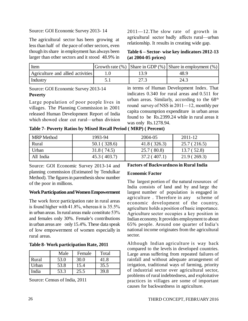## Source: GOI Economic Survey 2013- 14

The agricultural sector has been growing at less than half of the pace of other sectors, even though its share in employment has always been larger than other sectors and it stood 48.9% in

2011—12.The slow rate of growth in agricultural sector badly affects rural—urban relationship. It results in creating wide gap.

**Table 6 – Sector- wise key indicators 2012-13 (at 2004-05 prices)**

| Item                              |  | $ G$ rowth rate $(\%)$ Share in GDP $(\%)$ Share in employment $(\%)$ |
|-----------------------------------|--|-----------------------------------------------------------------------|
| Agriculture and allied activities |  | 48.9                                                                  |
| Industry                          |  | 24.3                                                                  |

Source: GOI Economic Survey 2013-14 **Poverty**

Large population of poor people lives in villages. The Planning Commission in 2001 released Human Development Report of India which showed clear cut rural—urban division

in terms of Human Development Index. That indicates 0.340 for rural areas and 0.511 for urban areas. Similarly, according to the  $68<sup>th</sup>$ round survey of NSS in 2011—12, monthly per capita consumption expenditure in urban areas found to be Rs.2399.24 while in rural areas it was only Rs.1278.94.

**Table 7- Poverty Ratios by Mixed Recall Period ( MRP) ( Percent)**

| <b>MRP</b> Method | 1993-94      | 2004-05      | 2011-12     |
|-------------------|--------------|--------------|-------------|
| Rural             | 50.1(328.6)  | 41.8(326.3)  | 25.7(216.5) |
| Urban             | 31.8(74.5)   | 25.7(80.8)   | 13.7(52.8)  |
| All India         | 45.3 (403.7) | 37.2 (407.1) | 21.9(269.3) |

Source: GOI Economic Survey 2013-14 and planning commission (Estimated by Tendulkar Method). The figures in parenthesis show number of the poor in millions.

## **Work Participation and Women Empowerment**

The work force participation rate in rural areas is found higher with  $41.8\%$ , whereas it is  $35.5\%$ in urban areas. In rural areas male constitute 53% and females only 30%. Female's contributions in urban areas are only 15.4%. These data speak of low empowerment of women especially in rural areas.

## **Table 8- Work participation Rate, 2011**

|       | Male | Female | Total |
|-------|------|--------|-------|
| Rural | 53.0 | 30.0   | 41.8  |
| Urban | 53.8 | 15.4   | 35.5  |
| India | 53.3 | 25.5   | 39.8  |

Source: Census of India, 2011

## **Factors of Backwardness in Rural India**

## **Economic Factor**

The largest portion of the natural resources of India consists of land and by and large the largest number of population is engaged in agriculture . Therefore in any scheme of economic development of the country, agriculture holds a position of basic importance. Agriculture sector occupies a key position in Indian economy. It provides employment to about 65% people. Around one quarter of India's national income originates from the agricultural sector.

Although Indian agriculture is way back compared to the levels in developed countries. Large areas suffering from repeated failures of rainfall and without adequate arrangement of irrigation, traditional ways of farming, priority of industrial sector over agricultural sector, problems of rural indebtedness, and exploitative practices in villages are some of important causes for backwardness in agriculture.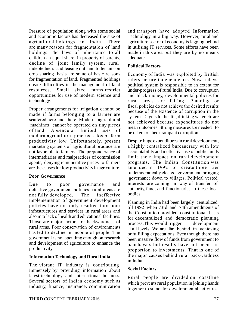Pressure of population along with some social and economic factors has decreased the size of agricultural holdings in India. There are many reasons for fragmentation of land holdings. The laws of inheritance to all children an equal share in property of parents, decline of joint family system, rural indebtedness and leasing out land to tenants on crop sharing basis are some of basic reasons for fragmentation of land. Fragmented holdings create difficulties in the management of land resources. Small sized farms restrict opportunities for use of modern science and technology.

Proper arrangements for irrigation cannot be made if farms belonging to a farmer are scattered here and there. Modern agricultural machines cannot be operated on tiny pieces of land. Absence or limited uses of modern agriculture practices keep farm productivity low. Unfortunately, present marketing systems of agricultural produce are not favorable to farmers. The preponderance of intermediaries and malpractices of commission agents, denying remunerative prices to farmers are the causes for low productivity in agriculture.

### **Poor Governance**

Due to poor governance and defective government policies, rural areas are not fully developed. The ineffective implementation of government development policies have not only resulted into poor infrastructures and services in rural areas and also into lack of health and educational facilities. Those are major factors for backwardness of rural areas. Poor conservation of environments has led to decline in income of people. The government is not spending enough on research and development of agriculture to enhance the productivity.

## **Information Technology and Rural India**

The vibrant IT industry is contributing immensely by providing information about latest technology and international business. Several sectors of Indian economy such as industry, finance, insurance, communication and transport have adopted Information Technology in a big way. However, rural and agriculture sector of economy is lagging behind in utilising IT services. Some efforts have been made in this area but they are by no means adequate.

## **Political Factors**

Economy of India was exploited by British rulers before independence. Now-a-days, political system is responsible to an extent for under-progress of rural India. Due to corruption and black money, developmental policies for rural areas are failing. Planning or fiscal policies do not achieve the desired results because of the existence of corruption in the system. Targets for health, drinking water etc are not achieved because expenditures do not mean outcomes. Strong measures are needed to be taken to check rampant corruption.

Despite huge expenditures in rural development, a highly centralized bureaucracy with low accountability and ineffective use of public funds limit their impact on rural development programs. The Indian Constitution was amended in 1992 to create three tier of democratically elected government bringing governance down to villages. Political vested interests are coming in way of transfer of authority, funds and functionaries to these local bodies.

Planning in India had been largely centralized till 1992 when 73rd and 74th amendments of the Constitution provided constitutional basis for decentralized and democratic planning process.This would trigger development at all levels. We are far behind in achieving or fulfilling expectations. Even though there has been massive flow of funds from government to panchayats but results have not been in proportion to investments. That is one of the major causes behind rural backwardness in India.

## **Social Factors**

Rural people are divided on coastline which prevents rural population in joining hands together to stand for developmental activities.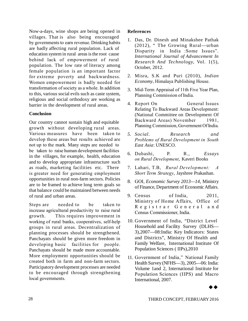Now-a-days, wine shops are being opened in villages. That is also being encouraged by governments to earn revenue. Drinking habits are badly affecting rural population. Lack of education system in rural areas is the root cause behind lack of empowerment of rural population. The low rate of literacy among female population is an important factor for extreme poverty and backwardness. Women empowerment is badly needed for transformation of society as a whole. In addition to this, various social evils such as caste system, religious and social orthodoxy are working as barrier in the development of rural areas.

## **Conclusion**

Our country cannot sustain high and equitable growth without developing rural areas. Various measures have been taken to develop these areas but results achieved are not up to the mark. Many steps are needed to be taken to raise human development facilities in the villages, for example, health, education and to develop appropriate infrastructure such as roads, marketing facilities etc. There is greater need for generating employment opportunities in rural non-farm sectors. Policies are to be framed to achieve long term goals so that balance could be maintained between needs of rural and urban areas.

Steps are needed to be taken to increase agricultural productivity to raise rural growth. This requires improvement in working of rural banks, cooperatives, self-help groups in rural areas. Decentralization of planning processes should be strengthened. Panchayats should be given more freedom in developing basic facilities for people. Panchayats should be made more accountable. More employment opportunities should be created both in farm and non-farm sectors. Participatory development processes are needed to be encouraged through strengthening local governments.

# **References**

- 1. Das, Dr. Dinesh and Minakshee Pathak (2012), " The Growing Rural—urban Disparity in India :Some Issues". *International Journal of Advancement In Research And Technology,* Vol. 1(5), October, 2012.
- 2. Misra, S.K and Puri (2010), *Indian Economy*, Himalaya Publishing House.
- 3. Mid-Term Appraisal of 11th Five Year Plan, Planning Commission of India.
- 4. Report On General Issues Relating To Backward Areas Development: (National Committee on Development Of Backward Areas) November 1981, Planning Commission, Government Of India.
- *5. Social. Research and Problems of Rural Development in South East Asia*: UNESCO.
- 6. Dubashi, P. R., *Essays on Rural Development*, Kaveri Books
- 7. Lahari, T.B, *Rural Development: A Short Term Strategy*, Jayshree Prakashan.
- 8. GOI, *Economic Survey 2013—14*, Ministry of Finance, Department of Economic Affairs.
- 9. Census of India, 2011, Ministry of Home Affairs, Office of Registrar General and Census Commissioner, India.
- 10. Government of India, "District Level Household and Facility Survey (DLHS— 3),2007—08:India: Key Indicators: States and Districts", Ministry Of Health and Family Welfare, International Institute Of Population Sciences ( IIPs),2010
- 11. Government of India," National Family Health Survey (NFHS—3), 2005—06: India: Volume 1and 2, International Institute for Population Sciences (IIPS) and Macro International, 2007.

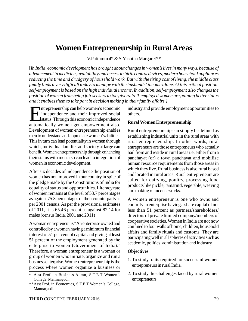# **Women Entrepreneurship in Rural Areas**

V.Pattammal\* & S.Yasotha Margaret\*\*

[*In India, economic development has brought about changes in women's lives in many ways, because of advancement in medicine, availability and access to birth control devices, modern household appliances reducing the time and drudgery of household work. But with the tiring cost of living, the middle class family finds it very difficult today to manage with the husbands' income alone. At this critical position, self-employment is based on the high individual income. In addition, self-employment also changes the position of women from being job-seekers to job givers. Self-employed women are gaining better status and it enables them to take part in decision making in their family affairs.]*

Intrepreneurship can help women's economic<br>independence and their improved social<br>status. Through this economic independence<br>automatically women get empowerment also. ntrepreneurship can help women's economic independence and their improved social status. Through this economic independence Development of women entrepreneurship enables men to understand and appreciate women's abilities. This in turn can lead potentiality in women through which, individual families and society at large can benefit. Women entrepreneurship through enhancing their status with men also can lead to integration of women in economic development.

After six decades of independence the position of women has not improved in our country in spite of the pledge made by the Constitutions of India for equality of status and opportunities. Literacy rate of women remains at the level of 53.7 percentages as against 75.3 percentages of their counterparts as per 2001 census. As per the provisional estimates of 2011, it is 65.46 percent as against 82.14 for males (census India, 2001 and 2011)

A woman entrepreneur is "An enterprise owned and controlled by a women having a minimum financial interest of 51 per cent of capital and giving at least 51 percent of the employment generated by the enterprise to women (Government of India)." Therefore, a woman entrepreneur is a woman or group of women who initiate, organize and run a business enterprise. Women entrepreneurship is the process where women organize a business or

\*\*Asst Prof. in Economics, S.T.E.T Women's College, Mannargudi.

industry and provide employment opportunities to others.

#### **Rural Women Entrepreneurship**

Rural entrepreneurship can simply be defined as establishing industrial units in the rural areas with rural entrepreneurship. In other words, rural entrepreneurs are those entrepreneurs who actually hail from and reside in rural areas i.e. either from a panchayat (or) a town panchayat and mobilize human resource requirements from those areas in which they live. Rural business is also rural based and located in rural areas. Rural entrepreneurs are suited for dairying, poultry, processing food products like pickle, tamarind, vegetable, weaving and making of incense sticks.

A women entrepreneur is one who owns and controls an enterprise having a share capital of not less than 51 percent as partners/shareholders/ directors of private limited company/members of cooperative societies. Women in India are not now confined to four walls of home, children, household affairs and family rituals and customs. They are participating well in all spheres of activities such as academic, politics, administration and industry.

#### **Objectives**

- 1. To study traits required for successful women entrepreneurs in rural India.
- 2. To study the challenges faced by rural women entrepreneurs.

Asst Prof. in Business Admn, S.T.E.T Women's College, Mannargudi.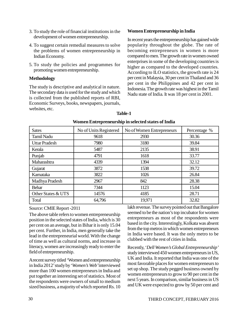- 3. To study the role of financial institutions in the development of women entrepreneurship.
- 4. To suggest certain remedial measures to solve the problems of women entrepreneurship in Indian Economy.
- 5. To study the policies and programmes for promoting women entrepreneurship.

## **Methodology**

The study is descriptive and analytical in nature. The secondary data is used for the study and which is collected from the published reports of RBI, Economic Surveys, books, newspapers, journals, websites, etc. **Table-1**

## **Women Entrepreneurship in India**

In recent years the entrepreneurship has gained wide popularity throughout the globe. The rate of becoming entrepreneurs in women is more compared to men. The growth rate in women owned enterprises in some of the developing countries is higher as compared to the developed countries. According to ILO statistics, the growth rate is 24 per cent in Malaysia, 30 per cent in Thailand and 36 per cent in the Philippines and 42 per cent in Indonesia. The growth rate was highest in the Tamil Nadu state of India. It was 18 per cent in 2001.

| <b>Sates</b>         | No of Units Registered | No of Women Entrepreneurs | Percentage % |
|----------------------|------------------------|---------------------------|--------------|
| <b>Tamil Nadu</b>    | 9618                   | 2930                      | 30.36        |
| <b>Uttar Pradesh</b> | 7980                   | 3180                      | 39.84        |
| Kerala               | 5487                   | 2135                      | 38.91        |
| Punjab               | 4791                   | 1618                      | 33.77        |
| Maharashtra          | 4339                   | 1394                      | 32.12        |
| Gujarat              | 3872                   | 1538                      | 39.72        |
| Karnataka            | 3822                   | 1026                      | 26.84        |
| Madhya Pradesh       | 2967                   | 842                       | 28.38        |
| <b>Behar</b>         | 7344                   | 1123                      | 15.04        |
| Other States & UTS   | 14576                  | 4185                      | 28.71        |
| Total                | 64,796                 | 19,971                    | 32.82        |

**Women Entrepreneurship in selected states of India**

Source: CMIE Report -2011

The above table refers to women entrepreneurship position in the selected states of India, which is 30 per cent on an average, but in Bihar it is only 15.04 per cent. Further, in India, men generally take the lead in the entrepreneurial world. With the change of time as well as cultural norms, and increase in literacy, women are increasingly ready to enter the field of entrepreneurship.

A recent survey titled 'Women and entrepreneurship in India 2012' study by '*Women's Web'* interviewed more than 100 women entrepreneurs in India and put together an interesting set of statistics. Most of the respondents were owners of small to medium sized business, a majority of which reported Rs. 10

lakh revenue. The survey pointed out that Bangalore seemed to be the nation's top incubator for women entrepreneurs as most of the respondents were based in the city. Interestingly, Kolkata was absent from the top metros in which women entrepreneurs in India were based. It was the only metro to be clubbed with the rest of cities in India.

Recently, '*Dell Women's Global Entrepreneurship'* study interviewed 450 women entrepreneurs in US, UK and India. It reported that India was one of the most favorable places for women entrepreneurs to set up shop. The study pegged business owned by women entrepreneurs to grow to 90 per cent in the next 5 years. In comparison, similar business in US and UK were expected to grow by 50 per cent and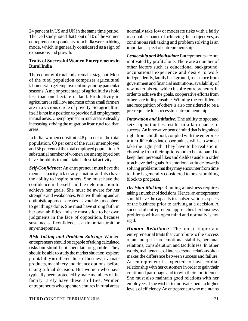24 per cent in US and UK in the same time period. The Dell study noted that 8 out of 10 of the women entrepreneur respondents from India were in hiring mode, which is generally considered as a sign of expansions and growth.

## **Traits of Successful Women Entrepreneurs in Rural India**

The economy of rural India remains stagnant. Most of the rural population comprises agricultural laborers who get employment only during particular seasons. A major percentage of agriculturists hold less than one hectare of land. Productivity in agriculture is still low and most of the small farmers are in a vicious circle of poverty. So agriculture itself is not in a position to provide full employment in rural areas. Unemployment in rural areas is steadily increasing, driving the migration from rural to urban areas.

In India, women constitute 48 percent of the total population, 60 per cent of the rural unemployed and 56 percent of the total employed population. A substantial number of women are unemployed but have the ability to undertake industrial activity.

*Self-Confidence:* An entrepreneur must have the mental capacity to face any situation and also have the ability to inspire others. She must have the confidence in herself and the determination to achieve her goals. She must be aware for her strengths and weaknesses. Positive thinking and an optimistic approach creates a favorable atmosphere to get things done. She must have strong faith in her own abilities and she must stick to her own judgments in the face of opposition, because sustained self-confidence is an important trait for any entrepreneur.

*Risk Taking and Problem Solving:* Women entrepreneurs should be capable of taking calculated risks but should not speculate or gamble. They should be able to study the market situation, explore profitability in different lines of business, evaluate products, machinery and finance options, before taking a final decision. But women who have typically been protected by male members of the family rarely have these abilities. Women entrepreneurs who operate ventures in rural areas normally take low or moderate risks with a fairly reasonable chance of achieving their objectives, as continuous risk taking and problem solving is an important aspect of entrepreneurship.

*Leadership and Motivation:* Entrepreneurs are not motivated by profit alone. There are a number of other factors such as educational background, occupational experience and desire to work independently, family background, assistance from government and financial institutions, availability of raw materials etc. which inspire entrepreneurs. In order to achieve the goals, cooperative efforts from others are indispensable. Winning the confidence and recognition of others is also considered to be a pre-requisite for successful entrepreneurship.

*Innovation and Initiative:* The ability to spot and seize opportunities results in a fair chance of success. An innovative bent of mind that is ingrained right from childhood, coupled with the enterprise to turn difficulties into opportunities, will help women take the right path. They have to be realistic in choosing from their options and to be prepared to keep their personal likes and dislikes aside in order to achieve their goals. An emotional attitude towards solving problems that they may encounter from time to time is generally considered to be a stumbling block to progress.

*Decision-Making:* Running a business requires taking a number of decisions. Hence, an entrepreneur should have the capacity to analyze various aspects of the business prior to arriving at a decision. A successful entrepreneur approaches her business problems with an open mind and normally is not rigid.

*Human Relations:* The most important entrepreneurial traits that contribute to the success of an enterprise are emotional stability, personal relations, consideration and tactfulness. In other words, maintenance of inter-personal relations often makes the difference between success and failure. An entrepreneur is expected to have cordial relationship with her customers in order to gain their continued patronage and to win their confidence. She must also maintain good relations with her employees if she wishes to motivate them to higher levels of efficiency. An entrepreneur who maintains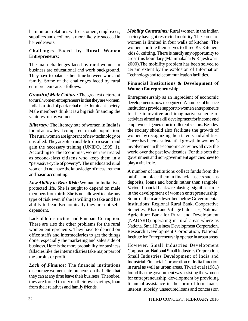harmonious relations with customers, employees, suppliers and creditors is more likely to succeed in her endeavors.

## **Challenges Faced by Rural Women Entrepreneurs:**

The main challenges faced by rural women in business are educational and work background. They have to balance their time between work and family. Some of the challenges faced by rural entrepreneurs are as follows:-

*Growth of Male Culture:* The greatest deterrent to rural women entrepreneurs is that they are women. India is a kind of patriarchal male dominant society. Male members think it is a big risk financing the ventures run by women.

*Illiteracy:* The literacy rate of women in India is found at low level compared to male population. The rural women are ignorant of new technology or unskilled. They are often unable to do research and gain the necessary training (UNIDO, 1995: 1). According to The Economist, women are treated as second-class citizens who keep them in a "pervasive cycle of poverty". The uneducated rural women do not have the knowledge of measurement and basic accounting.

*Low Ability to Bear Risk:* Woman in India lives protected life. She is taught to depend on male members from birth. She is not allowed to take any type of risk even if she is willing to take and has ability to bear. Economically they are not selfdependent.

Lack of Infrastructure and Rampant Corruption: These are also the other problems for the rural women entrepreneurs. They have to depend on office staffs and intermediaries to get the things done, especially the marketing and sales side of business. Here is the more probability for business fallacies like the intermediaries take major part of the surplus or profit.

*Lack of Finance:* The financial institutions discourage women entrepreneurs on the belief that they can at any time leave their business. Therefore, they are forced to rely on their own savings, loan from their relatives and family friends.

*Mobility Constraints:* Rural women in the Indian society have got restricted mobility. The career of women is limited in four walls of kitchen. The women confine themselves to three Ks-Kitchen, kids & knitting. There is hardly any opportunity to cross this boundary (Manimakalai & Rajeshwari, 2000).The mobility problem has been solved to certain extent by the explosion of Information Technology and telecommunication facilities.

## **Financial Institutions & Development of Women Entrepreneurship**

Entrepreneurship as an ingredient of economic development is now recognized. A number of finance institutions provide support to women entrepreneurs for the innovative and imaginative scheme of activities aimed at skill development for income and employment generation in different sectors. Besides, the society should also facilitate the growth of women by recognizing their talents and abilities. There has been a substantial growth in women's involvement in the economic activities all over the world over the past few decades. For this both the government and non-government agencies have to play a vital role.

A number of institutions collect funds from the public and place them in financial assets such as deposits, loans and bonds rather than tangible. Various financial banks are playing a significant role in the development of women entrepreneurship. Some of them are described below Governmental Institutions: Regional Rural Bank, Cooperative Societies, Khadi and Village Industries, National Agriculture Bank for Rural and Development (NABARD) operating in rural areas where as National Small Business Development Corporation, Research Development Corporation, National Institute for Entrepreneurship operate in urban areas.

However, Small Industries Development Corporation, National Small Industries Corporation, Small Industries Development of India and Industrial Financial Corporation of India function in rural as well as urban areas. Tiwari et al (1981) found that the government was assisting the women for entrepreneurship development by providing financial assistance in the form of term loans, interest, subsidy, unsecured loans and concession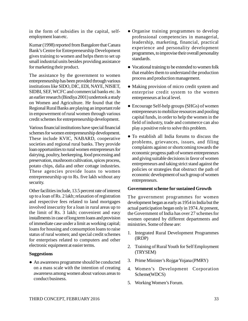in the form of subsidies in the capital, selfemployment loan etc.

Kumar (1998) reported from Bangalore that Canara Bank's Centre for Entrepreneurship Development gives training to women and helps them to set up small industrial units besides providing assistance for marketing their product.

The assistance by the government to women entrepreneurship has been provided through various institutions like SIDO, DIC, EDI, NAYE, NISIET, SIDBI, SEF, WCFC and commercial banks etc. In an earlier research (Bindiya 2001) undertook a study on Women and Agriculture. He found that the Regional Rural Banks are playing an important role in empowerment of rural women through various credit schemes for entrepreneurship development.

Various financial institutions have special financial schemes for women entrepreneurship development. These include KVIC, NABARD, cooperative societies and regional rural banks. They provide loan opportunities to rural women entrepreneurs for dairying, poultry, beekeeping, food processing and preservation, mushroom cultivation, spices process, potato chips, dalia and other cottage industries. These agencies provide loans to women entrepreneurship up to Rs. five lakh without any security.

Other facilities include, 13.5 percent rate of interest up to a loan of Rs. 2 lakh; relaxation of registration and respective fees related to land mortgages involved insecurity for a loan in rural areas up to the limit of Rs. 3 lakh; convenient and easy installments in case of long term loans and provision of immediate case under a limit as working capital; loans for housing and consumption loans to raise status of rural women; and special credit schemes for enterprises related to computers and other electronic equipment at easier terms.

### **Suggestions**

 An awareness programme should be conducted on a mass scale with the intention of creating awareness among women about various areas to conduct business.

- Organise training programmes to develop professional competencies in managerial, leadership, marketing, financial, practical experience and personality development programmes, to improvise their overall personality standards.
- Vocational training to be extended to women folk that enables them to understand the production process and production management.
- Making provision of micro credit system and enterprise credit system to the women entrepreneurs at local level.
- Encourage Self-help groups (SHGs) of women entrepreneurs to mobilize resources and pooling capital funds, in order to help the women in the field of industry, trade and commerce can also play a positive role to solve this problem.
- To establish all India forums to discuss the problems, grievances, issues, and filing complaints against or shortcoming towards the economic progress path of women entrepreneurs and giving suitable decisions in favor of women entrepreneurs and taking strict stand against the policies or strategies that obstruct the path of economic development of such group of women entrepreneurs.

#### **Government scheme for sustained Growth**

The government programmes for women development began as early as 1954 in India but the actual participation began only in 1974. At present, the Government of India has over 27 schemes for women operated by different departments and ministries. Some of these are:

- 1. Integrated Rural Development Programmes (IRDP)
- 2. Training of Rural Youth for Self Employment (TRYSEM)
- 3. Prime Minister's Rojgar Yojana (PMRY)
- 4. Women's Development Corporation Scheme(WDCS)
- 5. Working Women's Forum.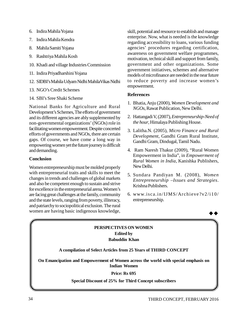- 6. Indira Mahila Yojana
- 7. Indira Mahila Kendra
- 8. Mahila Samiti Yojana
- 9. Rashtriya Mahila Kosh
- 10. Khadi and village Industries Commission
- 11. Indira Priyadharshini Yojana
- 12. SIDBI's Mahila Udyam Nidhi MahilaVikas Nidhi
- 13. NGO's Credit Schemes
- 14. SBI's Sree Shaki Scheme

National Banks for Agriculture and Rural Development's Schemes, The efforts of government and its different agencies are ably supplemented by non-governmental organizations' (NGOs) role in facilitating women empowerment. Despite concerted efforts of governments and NGOs, there are certain gaps. Of course, we have come a long way in empowering women yet the future journey is difficult and demanding.

### **Conclusion**

Women entrepreneurship must be molded properly with entrepreneurial traits and skills to meet the changes in trends and challenges of global markets and also be competent enough to sustain and strive for excellence in the entrepreneurial arena. Women's are facing great challenges at the family, community and the state levels, ranging from poverty, illiteracy, and patriarchy to sociopolitical exclusion. The rural women are having basic indigenous knowledge,

skill, potential and resource to establish and manage enterprise. Now, what is needed is the knowledge regarding accessibility to loans, various funding agencies' procedures regarding certification, awareness on government welfare programmes, motivation, technical skill and support from family, government and other organizations. Some government initiatives, schemes and alternative models of microfinance are needed in the near future to reduce poverty and increase women's empowerment.

### **References**

- 1. Bhatia, Anju (2000), *Women Development and NGOs*, Rawat Publication, New Delhi.
- 2. Hattangadi V, (2007), *Entrepreneurship-Need of the hour*, Himalaya Publishing House.
- 3. Lalitha.N. (2005), *Micro Finance and Rural Development*, Gandhi Gram Rural Institute, Gandhi Gram, Dindugal, Tamil Nadu.
- 4. Ram Naresh Thakur (2009), "Rural Women Empowerment in India", in *Empowerment of Rural Women in India*, Kanishka Publishers, New Delhi.
- 5. Sundara Pandiyan M. (2008), *Women Entrepreneurship –Issues and Strategies*. Krishna Publishers.
- 6. www.isca.in/IJMS/Archieve ?v2/i 10/ entrepreneurship.

 $\rightarrow \rightarrow$ 

### **PERSPECTIVES ON WOMEN Edited by**

#### **Babuddin Khan**

**A compilation of Select Articles from 25 Years of THIRD CONCEPT**

**On Emancipation and Empowerment of Women across the world with special emphasis on Indian Women**

**Price: Rs 695**

**Special Discount of 25% for Third Concept subscribers**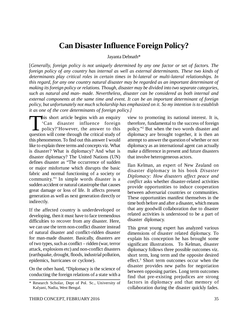# **Can Disaster Influence Foreign Policy?**

#### Jayanta Debnath\*

[*Generally, foreign policy is not uniquely determined by any one factor or set of factors. The foreign policy of any country has internal as well as external determinants. These two kinds of determinants play critical roles in certain times in bi-lateral or multi-lateral relationships. In this regard, for any one country natural disaster may be regarded as an important determinant of making its foreign policy or relations. Though, disaster may be divided into two separate categories, such as natural and man- made. Nevertheless, disaster can be considered as both internal and external components at the same time and event. It can be an important determinant of foreign policy, but unfortunately not much scholarship has emphasized on it. So my intention is to establish it as one of the core determinants of foreign policy.]*

This short article begins with an enquiry<br>
Can disaster influence foreign<br>
policy?'However, the answer to this<br>
question will come through the critical study of his short article begins with an enquiry 'Can disaster influence foreign policy?'However, the answer to this this phenomenon. To find out this answer I would like to explain three terms and concepts viz. What is disaster? What is diplomacy? And what is disaster diplomacy? The United Nations (UN) defines disaster as "The occurrence of sudden or major misfortune which disrupts the basic fabric and normal functioning of a society or community."<sup>1</sup> In simple words disaster is a sudden accident or natural catastrophe that causes great damage or loss of life. It affects present generation as well as next generation directly or indirectly.

If the affected country is underdeveloped or developing, then it must have to face tremendous difficulties to recover from any disaster. Here, we can use the term non-conflict disaster instead of natural disaster and conflict-ridden disaster for man-made disaster. Basically, disasters are of two types, such as conflict – ridden (war, terror attack, explosions etc) and non-conflict disasters (earthquake, drought, floods, industrial pollution, epidemics, hurricanes or cyclone).

On the other hand, "Diplomacy is the science of conducting the foreign relations of a state with a view to promoting its national interest. It is, therefore, fundamental to the success of foreign policy."<sup>2</sup> But when the two words disaster and diplomacy are brought together, it is then an attempt to answer the question of whether or not diplomacy as an international agent can actually make a difference in present and future disasters that involve heterogeneous actors.

Ilan Kelman, an expert of New Zealand on disaster diplomacy in his book *Disaster Diplomacy: How disasters affect peace and conflict* asks whether disaster-related activities provide opportunities to induce cooperation between adversarial countries or communities. These opportunities manifest themselves in the time both before and after a disaster, which means that any goodwill collaboration due to disaster related activities is understood to be a part of disaster diplomacy.

This great young expert has analyzed various dimensions of disaster related diplomacy. To explain his conception he has brought some significant illustrations. To Kelman, disaster diplomacy follows three possible outcomes viz. short term, long term and the opposite desired effect.<sup>3</sup> Short term outcomes occur when the disaster provides new paths for negotiation between opposing parties. Long term outcomes find that pre-existing prejudices are strong factors in diplomacy and that memory of collaboration during the disaster quickly fades.

<sup>\*</sup> Research Scholar, Dept of Pol. Sc., University of Kalyani, Nadia, West Bengal.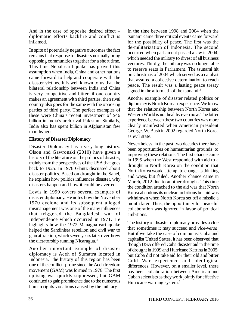And in the case of opposite desired effect – diplomatic efforts backfire and conflict is inflamed.

In spite of potentially negative outcomes the fact remains that response to disasters normally bring opposing communities together for a short time. This time Nepal earthquake has proved this assumption when India, China and other nations came forward to help and cooperate with the disaster victims. It is well known to us that the bilateral relationship between India and China is very competitive and bitter, if one country makes an agreement with third parties, then rival country also goes for the same with the opposing parties of third party. The perfect examples of these were China's recent investment of \$46 billion in India's arch-rival Pakistan. Similarly, India also has spent billion in Afghanistan few months ago.

## **History of Disaster Diplomacy**

Disaster Diplomacy has a very long history. Olson and Gawronski (2010) have given a history of the literature on the politics of disaster, mainly from the perspectives of the USA that goes back to 1925. In 1976 Glantz discussed about disaster politics. Based on drought in the Sahel, he explains how politics influences disaster, why disasters happen and how it could be averted.

Lewis in 1999 covers several examples of disaster diplomacy. He notes how the November 1970 cyclone and its subsequent alleged mismanagement was one of the many influences that triggered the Bangladesh war of Independence which occurred in 1971. He highlights how the 1972 Managua earthquake helped the Sandinista rebellion and civil war to gain attraction, which seven years later overthrew the dictatorship running Nicaragua.<sup>4</sup>

Another important example of disaster diplomacy is Aceh of Sumatra located in Indonesia. The history of this region has been one of the conflict–prone since the Aceh freedom movement (GAM) was formed in 1976. The first uprising was quickly suppressed, but GAM continued to gain prominence due to the numerous human rights violations caused by the military.

In the time between 1998 and 2004 when the tsunami came three critical events came forward for the possibility of peace. The first was the de-militarization of Indonesia. The second occurred when parliament passed a law in 2004, which needed the military to divest of all business ventures. Thirdly, the military was no longer able to reserve seats in Parliament. The tsunami hit on Christmas of 2004 which served as a catalyst that assured a collective determination to reach peace. The result was a lasting peace treaty signed in the aftermath of the tsunami.<sup>5</sup>

Another example of disaster related politics or diplomacy is North Korean experience. We know that the relationship between North Korea and Western World is not healthy even now. The bitter experience between these two countries was more clearly manifested when American president George. W. Bush in 2002 regarded North Korea as evil state.

Nevertheless, in the past two decades there have been opportunities on humanitarian grounds to improving these relations. The first chance came in 1995 when the West responded with aid to a drought in North Korea on the condition that North Korea would attempt to change its thinking and ways, but failed. Another chance came in March, 2012 due to another drought. This time the condition attached to the aid was that North Korea abandons its nuclear ambitions but aid was withdrawn when North Korea set off a missile a month later. Thus, the opportunity for peaceful collaboration was ignored in favor of political ambitions.

The history of disaster diplomacy provides a clue that sometimes it may succeed and *vice-versa*. But if we take the case of communist Cuba and capitalist United States, it has been observed that though USA offered Cuba disaster aid in the time of drought in 1999 and Hurricane Katrina in 2005, but Cuba did not take aid for their old and bitter Cold War experience and ideological differences. However, on a smaller level, there has been collaboration between American and Cuban scientists as they work jointly for effective Hurricane warning system.<sup>6</sup>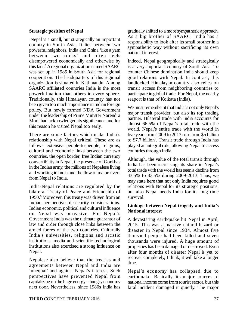### **Strategic position of Nepal**

 Nepal is a small, but strategically an important country in South Asia. It lies between two powerful neighbors, India and China 'like a yam between two rocks' and often feels disempowered economically and otherwise by this fact.<sup>7</sup> A regional organization named SAARC was set up in 1985 in South Asia for regional cooperation. The headquarters of this regional organization is situated in Kathmandu. Among SAARC affiliated countries India is the most powerful nation than others in every sphere. Traditionally, this Himalayan country has not been given too much importance in Indian foreign policy. But newly formed NDA Government under the leadership of Prime Minister Narendra Modi had acknowledged its significance and for this reason he visited Nepal too early.

There are some factors which make India's relationship with Nepal critical. These are as follows: extensive people-to-people, religious, cultural and economic links between the two countries, the open border, free Indian currency convertibility in Nepal, the presence of Gorkhas in the Indian army, the millions of Nepalese living and working in India and the flow of major rivers from Nepal to India.

India-Nepal relations are regulated by the bilateral Treaty of Peace and Friendship of 1950.<sup>8</sup> Moreover, this treaty was driven from an Indian perspective of security considerations. Indian economic, political and cultural influence on Nepal was pervasive. For Nepal's Government India was the ultimate guarantor of law and order through close links between the armed forces of the two countries. Culturally India's universities, religions and artistic institutions, media and scientific-technological institutions also exercised a strong influence on Nepal.

Nepalese also believe that the treaties and agreements between Nepal and India are 'unequal' and against Nepal's interest. Such perspectives have prevented Nepal from capitalizing on the huge energy – hungry economy next door. Nevertheless, since 1980s India has gradually shifted to a more sympathetic approach. As a big brother of SAARC, India has a responsibility to look after its small brother in a sympathetic way without sacrificing its own national interest.

Indeed, Nepal geographically and strategically is a very important country of South Asia. To counter Chinese domination India should keep good relations with Nepal. In contrast, this landlocked Himalayan country also relies on transit access from neighboring countries to participate in global trade. For Nepal, the nearby seaport is that of Kolkata (India).

We must remember it that India is not only Nepal's major transit provider, but also its top trading partner. Bilateral trade with India accounts for almost 66.5% of Nepal's total trade with the world. Nepal's entire trade with the world in five years from 2009 to 2013 rose from \$5 billion to \$7.7 billion<sup>9</sup>. Transit trade through India has played an integral role, allowing Nepal to access countries through India.

Although, the value of the total transit through India has been increasing, its share in Nepal's total trade with the world has seen a decline from 43.5% to 33.5% during 2009-2013. Thus, we may state here that not only India requires good relations with Nepal for its strategic positions, but also Nepal needs India for its long time survival.

### **Linkage between Nepal tragedy and India's National interest**

A devastating earthquake hit Nepal in April, 2015. This was a massive natural hazard or disaster in Nepal since 1934. Almost five thousand people had been killed and seven thousands were injured. A huge amount of properties has been damaged or destroyed. Even after four months of disaster Nepal is yet to recover completely, I think, it will take a longer time.

Nepal's economy has collapsed due to earthquake. Basically, its major sources of national income come from tourist sector, but this fatal incident damaged it quietly. The major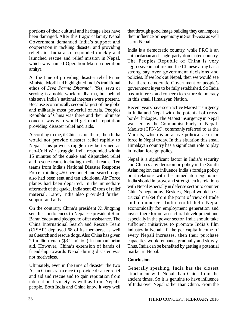portions of their cultural and heritage sites have been damaged. After this tragic calamity Nepal Government demanded India's support and cooperation in tackling disaster and providing relief aid. India also responded quickly and launched rescue and relief mission in Nepal, which was named Operation Maitri (operation amity).

At the time of providing disaster relief Prime Minister Modi had highlighted India's traditional ethos of *Seva Parmo Dharma*<sup>10</sup>. Yes, *seva* or serving is a noble work or dharma, but behind this seva India's national interests were present. Because economically second largest of the globe and militarily most powerful of Asia, Peoples Republic of China was there and their ultimate concern was who would get much reputation providing disaster relief and aids.

According to me, if China is not there, then India would not provide disaster relief rapidly to Nepal. This power struggle may be termed as neo-Cold War struggle. India responded within 15 minutes of the quake and dispatched relief and rescue teams including medical teams. Ten teams from India's National Disaster Response Force, totaling 450 personnel and search dogs also had been sent and ten additional Air Force planes had been departed. In the immediate aftermath of the quake, India sent 43 tons of relief material. Later, India also provided further support and aids.

On the contrary, China's president Xi Jingping sent his condolences to Nepalese president Ram Baran Yadav and pledged to offer assistance. The China International Search and Rescue Team (CISAR) deployed 68 of its members, as well as 6 search and rescue dogs. Also China has given 20 million yuan (\$3.2 million) in humanitarian aid. However, China's extension of hands of friendship towards Nepal during disaster was not motiveless.

Ultimately, even in the time of disaster the two Asian Giants ran a race to provide disaster relief and aid and rescue and to gain reputation from international society as well as from Nepal's people. Both India and China know it very well that through good image building they can impose their influence or hegemony in South-Asia as well as on Nepal.

India is a democratic country, while PRC is an authoritarian and single-party-dominated country. The Peoples Republic of China is very aggressive in nature and the Chinese army has a strong say over government decisions and policies. If we look at Nepal, then we would see that there democratic Government or people's government is yet to be fully established. So India has an interest and concern to restore democracy in this small Himalayan Nation.

Recent years have seen active Maoist insurgency in India and Nepal with the potential of crossborder linkages. The Maoist insurgency in Nepal was led by the Communist Party of Nepal-Maoists (CPN-M), commonly referred to as the Maoists, which is an active political actor or force in Nepal today. In this situation this small Himalayan country has a significant role to play in Indian foreign policy.

Nepal is a significant factor in India's security and China's any decision or policy in the South Asian region can influence India's foreign policy or it relations with the immediate neighbours. India should improve and strengthen its relations with Nepal especially in defense sector to counter China's hegemony. Besides, Nepal would be a crucial market from the point of view of trade and commerce. India could help Nepal economically for employment generation and invest there for infrastructural development and especially in the power sector. India should take sufficient initiatives to promote India's film industry in Nepal. If, the per capita income of every Nepali increases, then their purchase capacities would enhance gradually and slowly. Thus, India can be benefited by getting a potential market in Nepal.

## **Conclusion**

Generally speaking, India has the closest attachment with Nepal than China from the ancient times. So it is genuine to have influence of India over Nepal rather than China. From the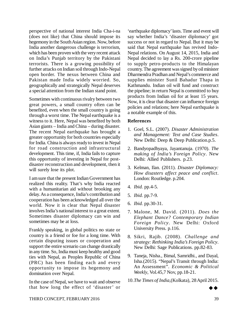perspective of national interest India Cha-i-na (does not like) that China should impose its hegemony in the South Asian region. Now, before India another dangerous challenge is terrorism, which has been proven with the very recent attack on India's Punjab territory by the Pakistani terrorists. There is a growing possibility of further attacks on Indian soil through Indo-Nepal open border. The nexus between China and Pakistan made India widely worried. So, geographically and strategically Nepal deserves a special attention from the Indian stand point.

Sometimes with continuous rivalry between two great powers, a small country often can be benefited, even when the small country is going through a worst time. The Nepal earthquake is a witness to it. Here, Nepal was benefited by both Asian giants – India and China – during disaster. The recent Nepal earthquake has brought a greater opportunity for both countries especially for India. China is always ready to invest in Nepal for road construction and infrastructural development. This time, if, India fails to capture this opportunity of investing in Nepal for postdisaster reconstruction and development, then it will surely lose its plot.

I am sure that the present Indian Government has realized this reality. That's why India reacted with a humanitarian aid without brooking any delay. As a consequence, India's contribution and cooperation has been acknowledged all over the world. Now it is clear that Nepal disaster involves India's national interest to a great extent. Sometimes disaster diplomacy can win and sometimes may be at loss.

Frankly speaking, in global politics no state or country is a friend or foe for a long time. With certain disputing issues or cooperation and support the entire scenario can change drastically in any time. So, India must keep healthy and good ties with Nepal, as Peoples Republic of China (PRC) has been finding each and every opportunity to impose its hegemony and domination over Nepal.

In the case of Nepal, we have to wait and observe that how long the effect of 'disaster' or

'earthquake diplomacy' lasts. Time and event will say whether India's 'disaster diplomacy' got success or not in regard to Nepal. But it may be said that Nepal earthquake has revived Indo-Nepal relations. On August 14, 2015, India and Nepal decided to lay a Rs. 200-crore pipeline to supply petro-products to the Himalayan country. The agreement was signed by oil minister Dharmendra Pradhan and Nepal's commerce and supplies minister Sunil Bahadur Thapa in Kathmandu. Indian oil will fund and construct the pipeline; in return Nepal is committed to buy products from Indian oil for at least 15 years. Now, it is clear that disaster can influence foreign policies and relations; here Nepal earthquake is a notable example of this.

### **References**

- 1. Goel, S.L. (2007). *Disaster Administration and Management: Text and Case Studies*. New Delhi: Deep & Deep Publication.p.5.
- 2. Bandyopadhyaya, Jayantanuja. (1970). *The making of India's Foreign Policy*. New Delhi: Allied Publishers. p.23.
- 3. Kelman, Ilan. (2011). *Disaster Diplomacy: How disasters affect peace and conflict*. London: Routledge. p.204.
- 4. *Ibid.* pp.4-5*.*
- 5. *Ibid.* pp.7-9*.*
- 6. *Ibid.* pp.30-31.
- 7. Malone, M. David. (2011). *Does the Elephant Dance? Contemporary Indian Foreign Policy*. New Delhi: Oxford University Press. p.116.
- 8. Sikri, Rajib. (2008). *Challenge and strategy: Rethinking India's Foreign Policy*. New Delhi: Sage Publications. pp.82-83.
- 9. Taneja, Nisha., Bimal, Samridhi., and Dayal, Isha.(2015). "Nepal's Transit through India: An Assessment". *Economic & Political Weekly*, Vol.45,7 Nov, pp.18-21.
- 10.*The Times of India,*(Kolkata)*,* 28 April 2015.

THIRD CONCEPT, FEBRUARY 2016 39

 $\rightarrow \rightarrow$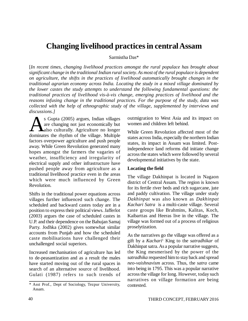# **Changing livelihood practices in central Assam**

Sarmistha Das\*

[*In recent times, changing livelihood practices amongst the rural populace has brought about significant change in the traditional Indian rural society. As most of the rural populace is dependent on agriculture, the shifts in the practices of livelihood automatically brought changes in the traditional agrarian economy across India. Locating the study in a mixed village dominated by the lower castes the study attempts to understand the following fundamental questions: the traditional practices of livelihood vis-à-vis change, emerging practices of livelihood and the reasons infusing change in the traditional practices. For the purpose of the study, data was collected with the help of ethnographic study of the village, supplemented by interviews and discussions.]*

 $\sum_{\text{dominate}}$ s Gupta (2005) argues, Indian villages are changing not just economically but also culturally. Agriculture no longer dominates the rhythm of the village. Multiple factors overpower agriculture and push people away. While Green Revolution generated many hopes amongst the farmers the vagaries of weather, insufficiency and irregularity of electrical supply and other infrastructure have pushed people away from agriculture as a traditional livelihood practice even in the areas which were much influenced by Green Revolution.

Shifts in the traditional power equations across villages further influenced such change. The scheduled and backward castes today are in a position to express their political views. Jafferlot (2003) argues the case of scheduled castes in U.P. and their dependence on the Bahujan Samaj Party. Jodhka (2002) gives somewhat similar accounts from Punjab and how the scheduled caste mobilisations have challenged their unchallenged social superiors.

Increased mechanisation of agriculture has led to de-peasantization and as a result the males have started moving out of the rural spaces in search of an alternative source of livelihood. Gulati (1987) refers to such trends of outmigration to West Asia and its impact on women and children left behind.

While Green Revolution affected most of the states across India, especially the northern Indian states, its impact in Assam was limited. Postindependence land reforms did initiate change across the states which were followed by several developmental initiatives by the state.

### **Locating the field**

The village Dakhinpat is located in Nagaon district of Central Assam. The region is known for its fertile river beds and rich sugarcane, jute and paddy cultivation. The village under study *Dakhinpat* was also known as *Dakhinpat Kachari Satra* is a multi-caste village. Several caste groups like Brahmins, Kalitas, Koch, Kaibarttas and Heeras live in the village. The village was formed out of a process of religious proselytization.

As the narratives go the village was offered as a gift by a *Kachari*<sup>1</sup> King to the *satradhikar* of Dakhinpat satra. As a popular narrative suggests, the King mesmerised by the power of the *satradhika* requested him to stay back and spread *neo-vaishnavism* across. Thus, the *satra* came into being in 1795. This was a popular narrative across the village for long. However, today such narratives on village formation are being contested.

<sup>\*</sup> Asst Prof., Dept of Sociology, Tezpur University, Assam.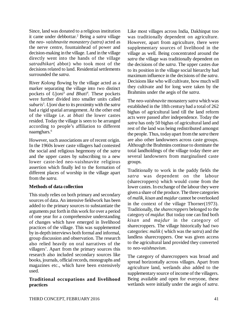Since, land was donated to a religious institution it came under debbottar.<sup>2</sup> Being a satra village the *neo- vaishnavite monastery (satra)* acted as the nerve centre, fountainhead of power and decision-making in the village. Land in the village directly went into the hands of the village *satradhikar*( abbot) who took most of the decisions related to land. Residential settlements surrounded the *satra*.

River *Kolong* flowing by the village acted as a marker separating the village into two distinct pockets of *Ujoni*<sup>3</sup>  *and Bhati*<sup>4</sup> *.* These pockets were further divided into smaller units called *suburis*<sup>5</sup> . *Ujoni* due to its proximity with the *satra* had a rigid spatial arrangement. At the other end of the village i.e. at *bhati* the lower castes resided*.* Today the village is seen to be arranged according to people's affiliation to different naamghars.<sup>6</sup>

However, such associations are of recent origin. In the 1960s lower caste villagers had contested the social and religious hegemony of the *satra* and the upper castes by subscribing to a new lower caste-led neo-vaishnavite religious assertion which finally led to the formation of different places of worship in the village apart from the *satra.*

### **Methods of data collection**

This study relies on both primary and secondary sources of data. An intensive fieldwork has been added to the primary sources to substantiate the arguments put forth in this work for over a period of one year for a comprehensive understanding of changes which have emerged in livelihood practices of the village. This was supplemented by in-depth interviews both formal and informal, group discussion and observation. The research also relied heavily on oral narratives of the villagers'. Apart from the primary sources this research also included secondary sources like books, journals, official records, monographs and magazines etc., which have been extensively used.

## **Traditional occupations and livelihood practices**

Like most villages across India, Dakhinpat too was traditionally dependent on agriculture. However, apart from agriculture, there were supplementary sources of livelihood in the village as well. Being concentrated around the *satra* the village was traditionally dependent on the decisions of the *satra.* The upper castes due to its position in the village social hierarchy had maximum influence in the decisions of the *satra*. Decisions like who will cultivate, how much will they cultivate and for long were taken by the Brahmins under the aegis of the *satra*.

The *neo-vaishnavite* monastery *satra* which was established in the 18th century had a total of 262 bighas of agricultural land till the land reform acts were passed after independence. Today the *satra* has only 50 bighas of agricultural land and rest of the land was being redistributed amongst the people. Thus, today apart from the *satra* there are also other landowners across caste groups. Although the Brahmins continue to dominate the total landholdings of the village today there are several landowners from marginalised caste groups.

Traditionally to work in the paddy fields the *satra* was dependent on the labour (sharecroppers) which would come from the lower castes. In exchange of the labour they were given a share of the produce. The three categories of *malik, kisan* and *majdur* cannot be overlooked in the context of the village Thorner(1973). Traditionally, the *sharecroppers* belonged to the category of *majdur.* But today one can find both *kisan* and *majdur* in the category of sharecroppers. The village historically had two categories: *malik* ( which was the *satra*) and the landless sharecroppers. One was given access to the agricultural land provided they converted to *neo-vaishnavism*.

The category of sharecroppers was broad and spread horizontally across villages. Apart from agriculture land, wetlands also added to the supplementary source of income of the villagers. Being available and open for everyone, these wetlands were initially under the aegis of *satra*.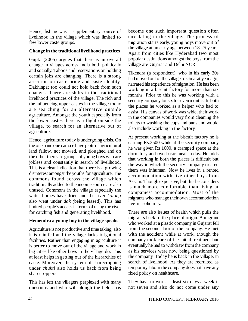Hence, fishing was a supplementary source of livelihood in the village which was limited to few lower caste groups.

## **Change in the traditional livelihood practices**

Gupta (2005) argues that there is an overall change in villages across India both politically and socially. Taboos and reservations on holding certain jobs are changing. There is a strong assertion on caste pride and caste identity. Dakhinpat too could not hold back from such changes. There are shifts in the traditional livelihood practices of the village. The rich and the influencing upper castes in the village today are searching for an alternative outside agriculture. Amongst the youth especially from the lower castes there is a flight outside the village, to search for an alternative out of agriculture.

Hence, agriculture today is undergoing crisis. On the one hand one can see huge plots of agricultural land fallow, not mowed, and ploughed and on the other there are groups of young boys who are jobless and constantly in search of livelihood. This is a clear indication that there is a growing disinterest amongst the youths for agriculture. The commons found across the village which traditionally added to the income source are also unused. Commons in the village especially the water bodies have dried and the river *kolong* also went under *dak (*being leased). This has limited people's access in terms of using the river for catching fish and generating livelihood.

## **Hemendra a young boy in the village speaks**

Agriculture is not productive and time taking, also it is rain-fed and the village lacks irrigational facilities. Rather than engaging in agriculture it is better to move out of the village and work in big cities like other boys in the village do. This at least helps in getting out of the hierarchies of caste. Moreover, the system of sharecropping under *chukti* also holds us back from being sharecroppers.

This has left the villagers perplexed with many questions and who will plough the fields has become one such important question often circulating in the village. The process of migration starts early, young boys move out of the village at an early age between 18-25 years. Apart from cities like Hyderabad two most popular destinations amongst the boys from the village are Gujarat and Delhi NCR.

Tikendra (a respondent), who in his early 20s had moved out of the village to Gujarat year ago, narrated his experience of migration. He has been working in a biscuit factory for more than six months. Prior to this he was working with a security company for six to seven months. In both the places he worked as a helper who had to assist. His canvas of work was wide; their work in the companies would vary from cleaning the toilets to washing the cups and pans and would also include working in the factory.

At present working at the biscuit factory he is earning Rs.3500 while at the security company he was given Rs 1000, a cramped space at the dormitory and two basic meals a day. He adds that working in both the places is difficult but the way in which the security company treated them was inhuman. Now he lives in a rented accommodation with five other boys from Assam. Though expensive, but this he considers is much more comfortable than living at companies' accommodation. Most of the migrants who manage their own accommodation live in solidarity.

There are also issues of health which pulls the migrants back to the place of origin. A migrant who worked at a plastic company in Gujarat fell from the second floor of the company. He met with the accident while at work, though the company took care of the initial treatment but eventually he had to withdraw from the company as his services were now being questioned by the company. Today he is back in the village, in search of livelihood. As they are recruited as temporary labour the company does not have any fixed policy on healthcare.

They have to work at least six days a week if not seven and also do not come under any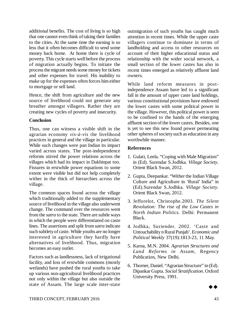additional benefits. The cost of living is so high that one cannot even think of taking their families to the cities. At the same time the earning is so less that it often becomes difficult to send some money back home. At home there is cycle of poverty. This cycle starts well before the process of migration actually begins. To initiate the process the migrant needs some money for tickets and other expenses for travel. His inability to make up for the expenses often forces him either to mortgage or sell land.

Hence, the shift from agriculture and the new source of livelihood could not generate any breather amongst villagers. Rather they are creating new cycles of poverty and insecurity.

## **Conclusion**

Thus, one can witness a visible shift in the agrarian economy *vis-à-vis* the livelihood practices in general and the village in particular. While such changes were pan Indian its impact varied across states. The post-independence reforms stirred the power relations across the villages which had its impact in Dakhinpat too. Fissures in erstwhile power equations to some extent were visible but did not help completely wither in the thick of hierarchies across the village.

The common spaces found across the village which traditionally added to the supplementary source of livelihood in the village also underwent change. The command over the resources went from the *satra* to the state. There are subtle ways in which the people were differentiated on caste lines. The assertions and split from *satra* indicate such subtlety of caste. While youths are no longer interested in agriculture they hardly have alternatives of livelihood. Thus, migration becomes an easy outlet.

Factors such as landlessness, lack of irrigational facility, and loss of erstwhile commons (mostly wetlands) have pushed the rural youths to take up various non-agricultural livelihood practices not only within the village but also outside the state of Assam. The large scale inter-state

outmigration of such youths has caught much attention in recent times. While the upper caste villagers continue to dominate in terms of landholding and access to other resources on account of their higher educational status and relationship with the wider social network, a small section of the lower castes has also in recent times emerged as relatively affluent land owners.

While land reform measures in postindependence Assam have led to a significant fall in the amount of upper caste land holdings, various constitutional provisions have endowed the lower castes with some political power in the village. However, this political power is seen to be confined to the hands of the emerging affluent section of the lower castes. Besides, one is yet to see this new found power permeating other spheres of society such as education in any worthwhile manner.

## **References**

- 1. Gulati, Leela. "Coping with Male Migration" in (Ed). Surendar S.Jodhka. *Village Society*. Orient Black Swan, 2012.
- 2. Gupta, Deepankar. "Wither the Indian Village Culture and Agriculture in 'Rural' India" in (Ed).Surendar S.Jodhka. *Village Society*. Orient Black Swan, 2012.
- 3. Jefforelot, Christophe.2003. *The Silent Revolution: The rise of the Low Castes in North Indian Politics.* Delhi: Permanent Black.
- 4. Jodhka, Suriender. 2002. 'Caste and Untouchability n Rural Punjab'. *Economic and Political Weekly* 37(19):1813-23, 11 May.
- 5. Karna, M.N. 2004. *Agrarian Structures and Land Reforms in Assam*, Regency Publication, New Delhi.
- 6. Thorner, Daniel. "Agrarian Structure" in (Ed). Dipankar Gupta. *Social Stratification*. Oxford University Press, 1991.

 $\rightarrow \rightarrow$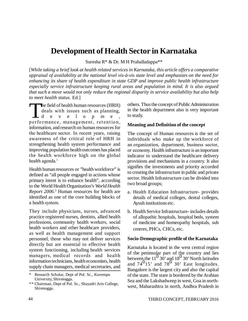# **Development of Health Sector in Karnataka**

Suresha R\* & Dr. M H Prahalladappa\*\*

[*While taking a brief look at health related services in Karnataka, this article offers a comparative appraisal of availability at the national level vis-à-vis state level and emphasizes on the need for enhancing its share of health expenditure in state GDP and improve public health infrastructure especially service infrastructure keeping rural areas and population in mind. It is also argued that such a move would not only reduce the regional disparity in service availability but also help to meet health status*. Ed.]

The field of health human resources (HRH)<br>deals with issues such as planning,<br>d e v e l o p m e,<br>performance, management, retention, he field of health human resources (HRH) deals with issues such as planning, d e v e l o p m e , information, and research on human resources for the healthcare sector. In recent years, raising awareness of the critical role of HRH in strengthening health system performance and improving population health outcomes has placed the health workforce high on the global health agenda.<sup>1</sup>

Health human resources or "health workforce" is defined as "all people engaged in actions whose primary intent is to enhance health", according to the World Health Organization's *World Health* Report 2006.<sup>2</sup> Human resources for health are identified as one of the core building blocks of a health system.

They include physicians, nurses, advanced practice registered nurses, dentists, allied health professions, community health workers, social health workers and other healthcare providers, as well as health management and support personnel, those who may not deliver services directly but are essential to effective health system functioning, including health services managers, medical records and health information technicians, health economists, health supply chain managers, medical secretaries, and

others. Thus the concept of Public Administration in the health department also is very important to study.

### **Meaning and Definition of the concept**

The concept of Human resources is the set of individuals who make up the workforce of an organization, department, business sector, or economy. Health infrastructure is an important indicator to understand the healthcare delivery provisions and mechanisms in a country. It also signifies the investments and priority accorded to creating the infrastructure in public and private sector. Health Infrastructure can be divided into two broad groups;

- a. Health Education Infrastructure- provides details of medical colleges, dental colleges, Ayush institutions etc.
- b. Health Service Infrastructure- includes details of allopathic hospitals, hospital beds, system of medicine and homeopathy hospitals, sub centres, PHCs, CHCs, etc.

### **Socio-Demographic profile of the Karnataka**

Karnataka is located in the west central region of the peninsular part of the country and lies between the  $11<sup>0</sup>$  30' and  $18<sup>0</sup>$  30' North latitudes and  $74<sup>0</sup>15'$  and  $78<sup>0</sup>30'$  East longitudes. Bangalore is the largest city and also the capital of the state. The state is bordered by the Arabian Sea and the Lakshadweep in west, Goa in northwest, Maharashtra in north, Andhra Pradesh in

<sup>\*</sup> Research Scholar, Dept of Pol. Sc., Kuvempu University, Shivmogga.

<sup>\*\*</sup> Chairman, Dept of Pol. Sc., Shayadri Arts College, Shivmogga.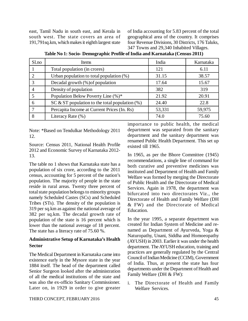east, Tamil Nadu in south east, and Kerala in south west. The state covers an area of 191,791sq.km, which makes it eighth largest state

of India accounting for 5.83 percent of the total geographical area of the country. It comprises four Revenue Divisions, 30 Districts, 176 Taluks, 347 Towns and 29,340 Inhabited Villages.

| Sl.no         | Items                                             | India  | Karnataka |
|---------------|---------------------------------------------------|--------|-----------|
|               | Total population (in crores)                      | 121    | 6.11      |
| $\mathcal{D}$ | Urban population to total population $(\%)$       | 31.15  | 38.57     |
| 3             | Decadal growth (%) of population                  | 17.64  | 15.67     |
|               | Density of population                             | 382    | 319       |
|               | Population Below Poverty Line (%)*                | 21.92  | 20.91     |
| 6             | SC & ST population to the total population $(\%)$ | 24.40  | 22.8      |
|               | Percapita Income at Current Prices (In. Rs)       | 53,331 | 59,975    |
| 8             | Literacy Rate (%)                                 | 74.0   | 75.60     |

**Table No 1: Socio- Demographic Profile of India and Karnataka (Census 2011)**

Note: \*Based on Tendulkar Methodology 2011 12.

Source: Census 2011, National Health Profile 2012 and Economic Survey of Karnataka 2012- 13.

The table no 1 shows that Karnataka state has a population of six crore, according to the 2011 census, accounting for 5 percent of the nation's population. The majority of people in the state reside in rural areas. Twenty three percent of total state population belongs to minority groups namely Scheduled Castes (SCs) and Scheduled Tribes (STs). The density of the population is 319 per sq.km as against the national average of 382 per sq.km. The decadal growth rate of population of the state is 16 percent which is lower than the national average of 18 percent. The state has a literacy rate of 75.60 %.

## **Administrative Setup of Karnataka's Health Sector**

The Medical Department in Karnataka came into existence early in the Mysore state in the year 1884 itself. The head of the department called Senior Surgeon looked after the administration of all the medical institutions of the state and was also the ex-officio Sanitary Commissioner. Later on, in 1929 in order to give greater

importance to public health, the medical department was separated from the sanitary department and the sanitary department was renamed Public Health Department. This set up existed till 1965.

In 1965, as per the Bhore Committee (1945) recommendations, a single line of command for both curative and preventive medicines was instituted and Department of Health and Family Welfare was formed by merging the Directorate of Public Health and the Directorate of Medical Services. Again in 1978, the department was bifurcated into two directorates Viz., the Directorate of Health and Family Welfare (DH & FW) and the Directorate of Medical Education.

In the year 1995, a separate department was created for Indian System of Medicine and renamed as Department of Ayurveda, Yoga & Naturopathy, Unani, Siddha and Homoeopathy (AYUSH) in 2003. Earlier it was under the health department. The AYUSH education, training and practices are generally regulated by the Central Council of Indian Medicine (CCIM), Government of India. Thus, at present the state has four departments under the Department of Health and Family Welfare (DH & FW):

i. The Directorate of Health and Family Welfare Services.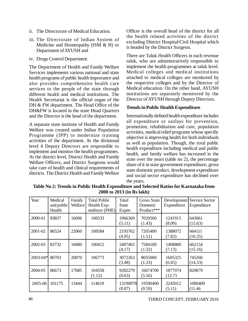- ii. The Directorate of Medical Education.
- iii. The Directorate of Indian System of Medicine and Homeopathy (ISM  $&$  H) or Department of AYUSH and
- iv. Drugs Control Department.

The Department of Health and Family Welfare Services implements various national and state health programs of public health importance and also provides comprehensive health care services to the people of the state through different health and medical institutions. The Health Secretariat is the official organ of the DH & FW department. The Head Office of the DH&FW is located in the state Head Quarters and the Director is the head of the department.

A separate state institute of Health and Family Welfare was created under Indian Population Programme (IPP) to modernize training activities of the department. At the divisional level 4 Deputy Directors are responsible to implement and monitor the health programmes. At the district level, District Health and Family Welfare Officers, and District Surgeons would take care of health and clinical requirements of districts. The District Health and Family Welfare Officer is the overall head of the district for all the health related activities of the district excluding District Hospital/Civil Hospital which is headed by the District Surgeon.

There are Taluk Health Officers in each revenue taluk, who are administratively responsible to implement the health programmes at taluk level. Medical colleges and medical institutions attached to medical colleges are monitored by the respective colleges and by the Director of Medical education. On the other hand, AYUSH institutions are separately monitored by the Director of AYUSH through Deputy Directors.

## **Trends in Public Health Expenditure**

Internationally defined health expenditure includes all expenditure or outlays for prevention, promotion, rehabilitation and care, population activities, medical relief programs whose specific objective is improving health for both individuals as well as population. Though, the total public health expenditure including medical and public health, and family welfare has increased in the state over the years (table no 2), the percentage share of it in state government expenditure, gross state domestic product, development expenditure and social sector expenditure has declined over the years.

| Table No 2: Trends in Public Health Expenditure and Selected Ratios for Karnataka from |
|----------------------------------------------------------------------------------------|
| 2000 to 2013 (in Rs lakh)                                                              |

| Year         | Medical<br>and public<br>Health | Family<br>Welfare | <b>Total Public</b><br>Health Exp-<br>enditure (PHE) | Total<br>State<br>Expen | <b>Gross State</b><br>Domestic<br>Product*** | Expenditure        | Development Service Sector<br>Expenditure |
|--------------|---------------------------------|-------------------|------------------------------------------------------|-------------------------|----------------------------------------------|--------------------|-------------------------------------------|
| 2000-01      | 83837                           | 16696             | 100533                                               | 1966369<br>(5.11)       | 7029500<br>(1.43)                            | 1241915<br>(8.09)  | 643061<br>(15.63)                         |
| 2001-02      | 86524                           | 22060             | 108584                                               | 2193762<br>(4.95)       | 7205400<br>(1.51)                            | 1388072<br>(7.82)  | 664111<br>(16.35)                         |
| 2002-03      | 83732                           | 16680             | 100412                                               | 2407402<br>(4.17)       | 7584100<br>(1.32)                            | 1408880<br>(7.13)  | 662154<br>(15.16)                         |
| $2003 - 04*$ | 86703                           | 20070             | 106773                                               | 3072263<br>(3.48)       | 8055000<br>(1.33)                            | 1605325<br>(6.65)  | 745260<br>(14.33)                         |
| 2004-05      | 86673                           | 17685             | 104358<br>(1.12)                                     | 9282279<br>(0.63)       | 16674700<br>(5.56)                           | 1877074<br>(12.71) | 820879                                    |
| 2005-06      | 101175                          | 13444             | 114619                                               | 13190978<br>(0.87)      | 19590400<br>(0.59)                           | 2245012<br>(5.11)  | 1000409<br>(11.46)                        |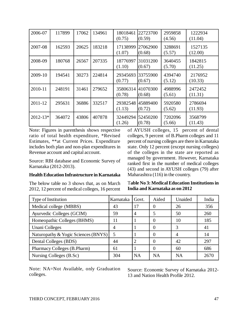| 2006-07      | 117899 | 17062 | 134961 | 18018461<br>(0.75) | 22723700<br>(0.59) | 2959858<br>(4.56) | 1222934<br>(11.04) |
|--------------|--------|-------|--------|--------------------|--------------------|-------------------|--------------------|
| 2007-08      | 162593 | 20625 | 183218 | 17138999<br>(1.07) | 27062900<br>(0.68) | 3288691<br>(5.57) | 1527135<br>(12.00) |
| 2008-09      | 180768 | 26567 | 207335 | 18776997<br>(1.10) | 31031200<br>(0.67) | 3640455<br>(5.70) | 1842815<br>(11.25) |
| 2009-10      | 194541 | 30273 | 224814 | 29345693<br>(0.77) | 33755900<br>(0.67) | 4394740<br>(5.12) | 2176952<br>(10.33) |
| 2010-11      | 248191 | 31461 | 279652 | 35806314<br>(0.78) | 41070300<br>(0.68) | 4988996<br>(5.61) | 2472452<br>(11.31) |
| 2011-12      | 295631 | 36886 | 332517 | 29382548<br>(1.13) | 45889400<br>(0.72) | 5920580<br>(5.62) | 2786694<br>(11.93) |
| $2012 - 13*$ | 364072 | 43806 | 407878 | 32449294<br>(1.26) | 52450200<br>(0.78) | 7202096<br>(5.66) | 3568799<br>(11.43) |

Note: Figures in parenthesis shows respective ratio of total health expenditure, \*Revised Estimates, \*\*at Current Prices. Expenditure includes both plan and non-plan expenditures in Revenue account and capital account.

Source: RBI database and Economic Survey of Karnataka (2012-2013).

### **Health Education Infrastructure in Karnataka**

The below table no 3 shows that, as on March 2012, 12 percent of medical colleges, 16 percent

of AYUSH colleges, 15 percent of dental colleges, 9 percent of B.Pharm colleges and 11 percent of nursing colleges are there in Karnataka state. Only 12 percent (except nursing colleges) of the colleges in the state are reported as managed by government. However, Karnataka ranked first in the number of medical colleges (43) and second in AYUSH colleges (79) after Maharashtra (116) in the country.

| <b>Table No 3: Medical Education Institutions in</b> |
|------------------------------------------------------|
| India and Karnataka as on 2012                       |

| Type of Institution                 | Karnataka | Govt.          | Aided     | Unaided   | India |
|-------------------------------------|-----------|----------------|-----------|-----------|-------|
| Medical college (MBBS)              | 43        | 17             | 0         | 26        | 356   |
| Ayurvedic Colleges (GCIM)           | 59        | $\overline{A}$ | 5         | 50        | 260   |
| Homeopathic Colleges (BHMS)         | 11        |                | 0         | 10        | 185   |
| Unani Colleges                      | 4         |                | $\theta$  | 3         | 41    |
| Naturopathy & Yogic Sciences (BNYS) | 5         |                |           | 4         | 14    |
| Dental Colleges (BDS)               | 44        |                | $\theta$  | 42        | 297   |
| Pharmacy Colleges (B.Pharm)         | 61        |                | $\theta$  | 60        | 686   |
| Nursing Colleges (B.Sc)             | 304       | <b>NA</b>      | <b>NA</b> | <b>NA</b> | 2670  |

Note: NA=Not Available, only Graduation colleges.

Source: Economic Survey of Karnataka 2012- 13 and Nation Health Profile 2012.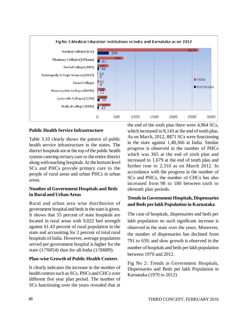

## **Public Health Service Infrastructure**

Table 3.10 clearly shows the pattern of public health service infrastructure in the states. The district hospitals are at the top of the public health system catering tertiary care to the entire district along with teaching hospitals. At the bottom level SCs and PHCs provide primary care to the people of rural areas and urban PHCs in urban areas.

## **Number of Government Hospitals and Beds in Rural and Urban Areas**

Rural and urban area wise distribution of government hospital and beds in the state is given. It shows that 55 percent of state hospitals are located in rural areas with 9,022 bed strength against 61.43 percent of rural population in the state and accounting for 2 percent of total rural hospitals of India. However, average population served per government hospital is higher for the state (1/76054) than for all-India (1/50689).

## **Plan-wise Growth of Public Health Centers**

It clearly indicates the increase in the number of health centres such as SCs, PHCs and CHCs over different five year plan period. The number of SCs functioning over the years revealed that at

the end of the sixth plan there were 4,964 SCs, which increased to 8,143 at the end of tenth plan. As on March, 2012, 8871 SCs were functioning in the state against 1,48,366 at India. Similar progress is observed in the number of PHCs which was 365 at the end of sixth plan and increased to 1,679 at the end of tenth plan and further rose to 2,310 as on March 2012. In accordance with the progress in the number of SCs and PHCs, the number of CHCs has also increased from 98 to 180 between sixth to eleventh plan periods.

## **Trends in Government Hospitals, Dispensaries and Beds per lakh Population in Karnataka**

The case of hospitals, dispensaries and beds per lakh population no such significant increase is observed in the state over the years. Moreover, the number of dispensaries has declined from 791 to 659, and slow growth is observed in the number of hospitals and beds per lakh population between 1970 and 2012.

Fig No 2: Trends in Government Hospitals, Dispensaries and Beds per lakh Population in Karnataka (1970 to 2012)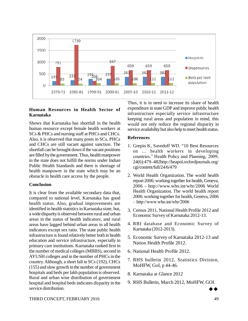

### **Human Resources in Health Sector of Karnataka**

Shows that Karnataka has shortfall in the health human resource except female health workers at SCs & PHCs and nursing staff at PHCs and CHCs. Also, it is observed that many posts in SCs, PHCs and CHCs are still vacant against sanction. The shortfall can be brought down if the vacant positions are filled by the government. Thus, health manpower in the state does not fulfill the norms under Indian Public Health Standards and there is shortage of health manpower in the state which may be an obstacle in health care access by the people.

#### **Conclusion**

It is clear from the available secondary data that, compared to national level, Karnataka has good health status. Also, gradual improvements are identified in health statistics in Karnataka state, but, a wide disparity is observed between rural and urban areas in the status of health indicators, and rural areas have lagged behind urban areas in all health indicators except sex ratio. The state public health infrastructure is found relatively better both in health education and service infrastructure, especially in primary care institutions. Karnataka ranked first in the number of medical colleges (MBBS), second in AYUSH colleges and in the number of PHCs in the country. Although, a short fall in SCs (192), CHCs (155) and slow growth in the number of government hospitals and beds per lakh population is observed. Rural and urban wise distribution of government hospital and hospital beds indicates disparity in the service distribution.

Thus, it is in need to increase its share of health expenditure in state GDP and improve public health infrastructure especially service infrastructure keeping rural areas and population in mind, this would not only reduce the regional disparity in service availability but also help to meet health status.

#### **References**

- 1. Grepin K, Savedoff WD. "10 Best Resources on ... health workers in developing countries." Health Policy and Planning, 2009; 24(6):479–482<http://heapol.oxfordjournals.org/> cgi/content/full/24/6/479
- 2. World Health Organization. The world health report 2006: working together for health, Geneva, 2006 – <http://www.who.int/whr/2006>World Health Organization. The world health report 2006: working together for health, Geneva, 2006 – http://www.who.int/whr/2006
- 3. Census 2011, National Health Profile 2012 and Economic Survey of Karnataka 2012-13.
- 4. RBI database and Economic Survey of Karnataka (2012-2013).
- 5. Economic Survey of Karnataka 2012-13 and Nation Health Profile 2012.
- 6. National Health Profile 2012.
- 7. RHS bulletin 2012, Statistics Division, MoHFW, GoI, p 44-46.
- 8. Karnataka at Glance 2012
- 9. RHS Bulletin, March 2012, MoHFW, GOI.

#### THIRD CONCEPT, FEBRUARY 2016 49

 $\rightarrow \rightarrow$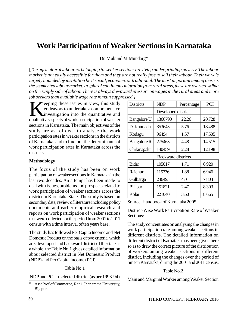# **Work Participation of Weaker Sections in Karnataka**

Dr. Mukund M.Mundarg\*

[*The agricultural labourers belonging to weaker sections are living under grinding poverty. The labour market is not easily accessible for them and they are not really free to sell their labour. Their work is largely bounded by institution be it social, economic or traditional. The most important among these is the segmented labour market. In spite of continuous migration from rural areas, these are over-crowding on the supply side of labour. There is always downward pressure on wages in the rural areas and more job seekers than available wage rate remain suppressed.]*

**K** eeping these issues in view, this study endeavors to undertake a comprehensive investigation into the quantitative and qualitative aspects of work participation of weaker  $\sum$  eeping these issues in view, this study endeavors to undertake a comprehensive investigation into the quantitative and sections in Karnataka. The main objectives of the study are as follows: to analyse the work participation rates in weaker sections in the districts of Karnataka, and to find out the determinants of work participation rates in Karnataka across the districts.

### **Methodology**

The focus of the study has been on work participation of weaker sections in Karnataka in the last two decades. An attempt has been made to deal with issues, problems and prospects related to work participation of weaker sections across the district in Karnataka State. The study is based on secondary data, review of literature including policy documents and earlier empirical research and reports on work participation of weaker sections that were collected for the period from 2001 to 2011 census with a time interval of ten years base.

The study has followed Per Capita Income and Net Domestic Product on the basis of two criteria, which are: developed and backward district of the state as a whole, the Table No.1 gives detailed information about selected district in Net Domestic Product (NDP) and Per Capita Income (PCI).

#### Table No.1

NDP and PCI in selected district (as per 1993-94)

| <b>Districts</b>   | <b>NDP</b> | Percentage          | <b>PCI</b> |
|--------------------|------------|---------------------|------------|
|                    |            | Developed districts |            |
| <b>Bangalore U</b> | 1366790    | 22.26               | 20.728     |
| D. Kannada         | 353643     | 5.76                | 18.488     |
| Kodagu             | 96494      | 1.57                | 17.505     |
| <b>Bangalore R</b> | 275463     | 4.48                | 14.515     |
| Chikmagalur        | 140459     | 2.28                | 12.198     |

| <b>Backward districts</b> |        |      |       |  |  |  |
|---------------------------|--------|------|-------|--|--|--|
| <b>Bidar</b>              | 105017 | 1.71 | 6.920 |  |  |  |
| Raichur                   | 115736 | 1.88 | 6.946 |  |  |  |
| Gulbarga                  | 246493 | 4.01 | 7.803 |  |  |  |
| <b>Bijapur</b>            | 151821 | 2.47 | 8.303 |  |  |  |
| Kolar                     | 221040 | 3.60 | 8.665 |  |  |  |

Source: Handbook of Karnataka 2005.

District-Wise Work Participation Rate of Weaker Sections:

The study concentrates on analyzing the changes in work participation rate among weaker sections in different districts. The detailed information on different district of Karnataka has been given here so as to draw the correct picture of the distribution of workers among weaker sections in different district, including the changes over the period of time in Karnataka, during the 2001 and 2011 census.

#### Table No.2

Main and Marginal Worker among Weaker Section

Asst Prof of Commerce, Rani Chanamma University, Bijapur.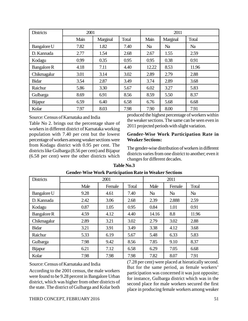| <b>Districts</b>   | 2001 |          |       | 2011  |          |       |
|--------------------|------|----------|-------|-------|----------|-------|
|                    | Main | Marginal | Total | Main  | Marginal | Total |
| <b>Bangalore U</b> | 7.82 | 1.82     | 7.40  | Na    | Na       | Na    |
| D. Kannada         | 2.77 | 1.54     | 2.68  | 2.67  | 1.55     | 2.59  |
| Kodagu             | 0.99 | 0.35     | 0.95  | 0.95  | 0.38     | 0.91  |
| <b>Bangalore R</b> | 4.18 | 7.11     | 4.40  | 12.22 | 8.53     | 11.96 |
| Chikmagalur        | 3.01 | 3.14     | 3.02  | 2.89  | 2.79     | 2.88  |
| <b>Bidar</b>       | 3.54 | 2.87     | 3.49  | 3.74  | 2.89     | 3.68  |
| Raichur            | 5.86 | 3.30     | 5.67  | 6.02  | 3.27     | 5.83  |
| Gulbarga           | 8.69 | 6.91     | 8.56  | 8.59  | 5.50     | 8.37  |
| Bijapur            | 6.59 | 6.40     | 6.58  | 6.76  | 5.68     | 6.68  |
| Kolar              | 7.97 | 8.03     | 7.98  | 7.90  | 8.00     | 7.91  |

Source: Census of Karnataka and India

Table No 2. brings out the percentage share of workers in different district of Karnataka working population with 7.40 per cent but the lowest percentage of workers among weaker sections were from Kodagu district with 0.95 per cent. The districts like Gulbarga (8.56 per cent) and Bijapur (6.58 per cent) were the other districts which produced the highest percentage of workers within the weaker sections. The same can be seen even in 2011 projected periods with slight variation.

## **Gender-Wise Work Participation Rate in Weaker Sections:**

The gender-wise distribution of workers in different districts varies from one district to another; even it changes for different decades.

| <b>Districts</b>   | 2001 |        |       | 2011  |           |       |
|--------------------|------|--------|-------|-------|-----------|-------|
|                    | Male | Female | Total | Male  | Female    | Total |
| Bangalore U        | 9.28 | 4.61   | 7.40  | Na    | <b>Na</b> | Na    |
| D. Kannada         | 2.42 | 3.06   | 2.68  | 2.39  | 2.888     | 2.59  |
| Kodagu             | 0.87 | 1.05   | 0.95  | 0.84  | 1.01      | 0.91  |
| <b>Bangalore R</b> | 4.59 | 4.12   | 4.40  | 14.16 | 8.8       | 11.96 |
| Chikmagalur        | 2.89 | 3.21   | 3.02  | 2.79  | 3.02      | 2.88  |
| <b>Bidar</b>       | 3.21 | 3.91   | 3.49  | 3.38  | 4.12      | 3.68  |
| Raichur            | 5.33 | 6.19   | 5.67  | 5.48  | 6.33      | 5.83  |
| Gulbarga           | 7.98 | 9.42   | 8.56  | 7.85  | 9.10      | 8.37  |
| <b>Bijapur</b>     | 6.21 | 7.12   | 6.58  | 6.29  | 7.05      | 6.68  |
| Kolar              | 7.98 | 7.98   | 7.98  | 7.82  | 8.07      | 7.91  |

| Table No.3                                                    |
|---------------------------------------------------------------|
| <b>Gender-Wise Work Participation Rate in Weaker Sections</b> |

## Source: Census of Karnataka and India

According to the 2001 census, the male workers were found to be 9.28 percent in Bangalore Urban district, which was higher from other districts of the state. The district of Gulbarga and Kolar both (7.28 per cent) were placed at hieratically second. But for the same period, as female workers' participation was concerned it was just opposite; for instance, Gulbarga district which was in the second place for male workers secured the first place in producing female workers among weaker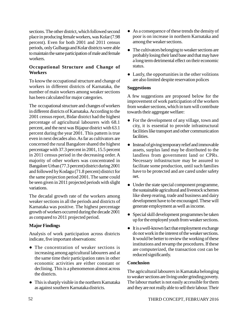sections. The other district, which followed second place in producing female workers, was Kolar (7.98 percent). Even for both 2001 and 2011 census periods, only Gulbarga and Kolar districts were able to maintain the same participation of male and female workers.

## **Occupational Structure and Change of Workers**

To know the occupational structure and change of workers in different districts of Karnataka, the number of main workers among weaker sections has been calculated for major categories.

The occupational structure and changes of workers in different districts of Karnataka. According to the 2001 census report, Bidar district had the highest percentage of agricultural labourers with 68.1 percent, and the next was Bijapur district with 63.1 percent during the year 2001. This pattern is true even in next decades also. As far as cultivators are concerned the rural Bangalore shared the highest percentage with 37.3 percent in 2001, 15.5 percent in 2011 census period in the decreasing order. A majority of other workers was concentrated in Bangalore Urban (77.3 percent) district during 2001 and followed by Kodagu (71.8 percent) district for the same projection period 2001. The same could be seen given in 2011 projected periods with slight variations.

The decadal growth rate of the workers among weaker sections in all the periods and districts of Karnataka was positive. The highest percentage growth of workers occurred during the decade 2001 as compared to 2011 projected period.

### **Major Findings**

Analysis of work participation across districts indicate, five important observations:

- The concentration of weaker sections is increasing among agricultural labourers and at the same time their participation rates in other economic activities are either constant or declining. This is a phenomenon almost across the districts.
- This is sharply visible in the northern Karnataka as against southern Karnataka districts.
- As a consequence of these trends the density of poor is on increase in northern Karnataka and among the weaker sections.
- The cultivators belonging to weaker sections are probably losing their land base and that may have a long term detrimental effect on their economic status.
- Lastly, the opportunities in the other volitions are also limited despite reservation polices

#### **Suggestions**

A few suggestions are proposed below for the improvement of work participation of the workers from weaker sections, which in turn will contribute towards their aggregate welfare:

- For the development of any village, town and city, it is essential to provide infrastructural facilities like transport and other communication **facilities**
- Instead of giving temporary relief and immovable assets, surplus land may be distributed to the landless from government land or CPRs. Necessary infrastructure may be assured to facilitate some production, until such families have to be protected and are cared under safety net.
- Under the state special component programme, the sustainable agricultural and livestock schemes like sheep rearing, trade and business and dairy development have to be encouraged. These will generate employment as well as income.
- Special skill development programmes be taken up for the employed youth from weaker sections.
- It is a well-known fact that employment exchange do not work in the interest of the weaker sections. It would be better to review the working of these institutions and revamp the procedures. If these are computerized, the transaction cost can be reduced significantly.

### **Conclusion**

The agricultural labourers in Karnataka belonging to weaker sections are living under grinding poverty. The labour market is not easily accessible for them and they are not really able to sell their labour. Their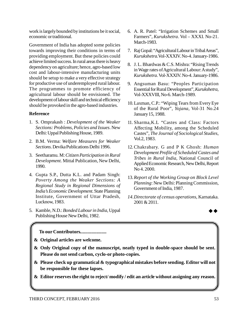work is largely bounded by institutions be it social, economic or traditional.

Government of India has adopted some policies towards improving their conditions in terms of providing employment. But these policies could achieve limited success. In rural areas there is heavy dependency on agriculture; hence, agro-based low cost and labour-intensive manufacturing units should be setup to make a very effective strategy for productive use of underemployed rural labour. The programmes to promote efficiency of agricultural labour should be envisioned. The development of labour skill and technical efficiency should be provoked in the agro-based industries.

## **Reference**

- 1. S. Omprakash : *Development of the Weaker Sections: Problems, Policies and Issues*. New Delhi: Uppal Publishing House, 1989.
- 2. B.M. Verma: *Welfare Measures for Weaker Sections*. Devika Publications Delhi 1996.
- 3. Seetharamu. M: *Citizen Participation in Rural Development.* Mittal Publication, New Delhi, 1990.
- 4. Gupta S.P., Dutta K.L. and Padam Singh: *Poverty Among the Weaker Sections: A Regional Study in Regional Dimensions of India's Economic Development*. State Planning Institute, Government of Uttar Pradesh, Lucknow, 1983.
- 5. Kamble, N.D.: *Bonded Labour in India*, Uppal Publishing House New Delhi, 1982.
- 6. A. R. Patel: "Irrigation Schemes and Small Farmers", *Kurukshetra*. Vol – XXXI. No-21. March-1983.
- 7. Raj Gopal: "Agricultural Labour in Tribal Areas", *Kurukshetra.*Vol-XXXIV. No-4. January-1986.
- 8. J. L. Bhardwas & C.S. Mishra: "Rising Trends in Wage rates of Agricultural Labour: A study", *Kurukshetra.* Vol-XXXIV. No-4. January-1986.
- 9. Angsuman Basu: "Peoples Participation Essential for Rural Development", *Kurukshetra,* Vol-XXXVIII, No-6. March-1989.
- 10.Laxman, C.P.: "Wiping Tears from Every Eye of the Rural Poor", *Yojana*, Vol-31 No.24 January 15, 1988.
- 11. Sharma,K.L "Castes and Class: Factors Affecting Mobility, among the Scheduled Castes", *The Journal of Sociological Studies*, Vol.2, 1983.
- 12.Chakrabary. G and P K Ghosh: *Human Development Profile of Scheduled Castes and Tribes in Rural India,* National Council of Applied Economic Research, New Delhi, Report No 4. 2000.
- 13.*Report of the Working Group on Block Level Planning*: New Delhi: Planning Commission, Government of India, 1987.
- *14.Directorate of census operations*, Karnataka. 2001 & 2011.

**To our Contributors.....................**

**& Original articles are welcome.**

- **& Only Original copy of the manuscript, neatly typed in double-space should be sent. Please do not send carbon, cyclo-or photo-copies.**
- **& Please check up grammatical & typographical mistakes before sending. Editor will not be responsible for these lapses.**
- **& Editor reserves the right to reject/ modify / edit an article without assigning any reason.**

 $\rightarrow \rightarrow$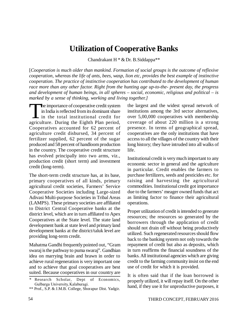# **Utilization of Cooperative Banks**

Chandrakant H \* & Dr. B.Siddappa\*\*

[*Cooperation is much older than mankind. Formation of social groups is the outcome of reflexive cooperation, whereas the life of ants, bees, wasp, lion etc, provides the best example of instinctive cooperation. The practice of instinctive cooperation has contributed to the development of human race more than any other factor. Right from the hunting age up-to-the- present day, the progress and development of human beings, in all spheres – social, economic, religious and political – is marked by a sense of thinking, working and living together.]*

The importance of cooperative credit system<br>in India is reflected from its dominant share<br>in the total institutional credit for<br>agriculture. During the Eighth Plan period, he importance of cooperative credit system in India is reflected from its dominant share  $\mathsf{L}$  in the total institutional credit for Cooperatives accounted for 62 percent of agriculture credit disbursed, 34 percent of fertilizer supplied, 62 percent of the sugar produced and 58 percent of handloom production in the country. The cooperative credit structure has evolved principally into two arms, viz., production credit (short term) and investment credit (long-term).

The short-term credit structure has, at its base, primary cooperatives of all kinds, primary agricultural credit societies, Farmers' Service Cooperative Societies including Large-sized Adivasi Multi-purpose Societies in Tribal Areas (LAMPS). These primary societies are affiliated to District Central Cooperative banks at the district level, which are in turn affiliated to Apex Cooperatives at the State level. The state land development bank at state level and primary land development banks at the district/taluk level are providing long-term credit.

Mahatma Gandhi frequently pointed out, "Gram swaraj is the pathway to puma swaraj". Gandhian idea on marrying brain and brawn in order to achieve rural regeneration is very important one and to achieve that goal cooperatives are best suited. Because cooperatives in our country are

the largest and the widest spread network of institutions among the 3rd sector alternatives, over 5,00,000 cooperatives with membership coverage of about 220 million is a strong presence. In terms of geographical spread, cooperatives are the only institutions that have access to all the villages of the country with their long history; they have intruded into all walks of life.

Institutional credit is very much important to any economic sector in general and the agriculture in particular. Credit enables the farmers to purchase fertilizers, seeds and pesticides etc. for raising and harvesting the agricultural commodities. Institutional credit got importance due to the farmers' meager owned funds that act as limiting factor to finance their agricultural operations.

Proper utilization of credit is intended to generate resources; the resources so generated by the borrowers through the application of credit should not drain off without being productively utilized. Such regenerated resources should flow back to the banking system not only towards the repayment of credit but also as deposits, which in turn reaffirms the financial soundness of the banks. All institutional agencies which are giving credit to the farming community insist on the end use of credit for which it is provided.

It is often said that if the loan borrowed is properly utilized, it will repay itself. On the other hand, if they use it for unproductive purposes, it

*<sup>\*</sup>* Research Scholar, Dept of Economics, Gulbarga University, Kalaburagi.

<sup>\*\*</sup> Prof., S.P. & J.M.B. College, Shorapur Dist. Yadgir.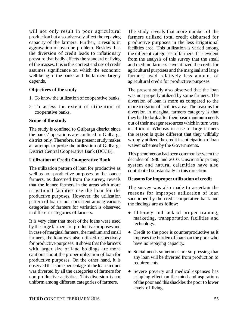will not only result in poor agricultural production but also adversely affect the repaying capacity of the farmers. Further, it results in aggravation of overdue problem. Besides this, the diversion of credit leads to inflationary pressure that badly affects the standard of living of the masses. It is in this context end use of credit assumes significance on which the economic well-being of the banks and the farmers largely depends.

## **Objectives of the study**

- 1. To know the utilization of cooperative banks.
- 2. To assess the extent of utilization of cooperative banks.

### **Scope of the study**

The study is confined to Gulbarga district since the banks' operations are confined to Gulbarga district only. Therefore, the present study makes an attempt to probe the utilization of Gulbarga District Central Cooperative Bank (DCCB).

### **Utilization of Credit Co-operative Bank**

The utilization pattern of loan for productive as well as non-productive purposes by the loanee farmers, as discerned from the survey, reveals that the loanee farmers in the areas with more irrigational facilities use the loan for the productive purposes. However, the utilization pattern of loan is not consistent among various categories of farmers for variation is observed in different categories of farmers.

It is very clear that most of the loans were used by the large farmers for productive proposes and in case of marginal farmers, the medium and small farmers, the loan was also utilized respectively for productive purposes. It shows that the farmers with larger size of land holdings are more cautious about the proper utilization of loan for productive purposes. On the other hand, it is observed that some percentage of the loan amount was diverted by all the categories of farmers for non-productive activities. This diversion is not uniform among different categories of farmers.

The study reveals that more number of the farmers utilized total credit disbursed for productive purposes in the less irrigational facilities area. This utilization is varied among the different categories of farmers. It is evident from the analysis of this survey that the small and medium farmers have utilized the credit for agricultural purposes and the marginal and large farmers used relatively less amount of agricultural credit for productive purposes.

The present study also observed that the loan was not properly utilized by some farmers. The diversion of loan is more as compared to the more irrigational facilities area. The reasons for diversion in marginal farmers category is that they had to look after their basic minimum needs out of their meager resources which in turn were insufficient. Whereas in case of large farmers the reason is quite different that they willfully wrongly utilized the credit in anticipation of loan waiver schemes by the Governments.

This phenomenon had been common between the decades of 1980 and 2010. Unscientific pricing system and natural calamities have also contributed substantially in this direction.

#### **Reasons for improper utilization of credit**

The survey was also made to ascertain the reasons for improper utilization of loan sanctioned by the credit cooperative bank and the findings are as follow:

- Illiteracy and lack of proper training, marketing, transportation facilities and technology.
- Credit to the poor is counterproductive as it imposes the burden of loans on the poor who have no repaying capacity.
- Social needs sometimes are so pressing that any loan will be diverted from production to requirements.
- Severe poverty and medical expenses has crippling effect on the mind and aspirations of the poor and this shackles the poor to lower levels of living.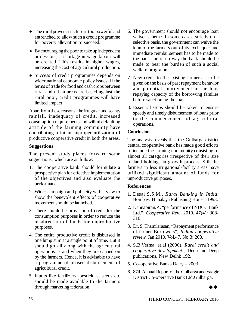- The rural power-structure is too powerful and entrenched to allow such a credit programme for poverty alleviation to succeed.
- By encouraging the poor to take up independent professions, a shortage in wage labour will be created. This results in higher wages, increasing the cost of agricultural production.
- Success of credit programmes depends on wider national economic policy issues. If the terms of trade for food and cash crops between rural and urban areas are based against the rural poor, credit programmes will have limited impact.

Apart from these reasons, the irregular and scanty rainfall, inadequacy of credit, increased consumption requirements and willful defaulting attitude of the farming community have contributing a lot in improper utilization of productive cooperative credit in both the areas.

## **Suggestions**

The present study places forward some suggestions, which are as follow:

- 1. The cooperative bank should formulate a prospective plan for effective implementation of the objectives and also evaluate the performance.
- 2. Wider campaign and publicity with a view to show the benevolent effects of cooperative movement should be launched.
- 3. There should be provision of credit for the consumption purposes in order to reduce the misdirection of funds for unproductive purposes.
- 4. The entire productive credit is disbursed in one lump sum at a single point of time. But it should go all along with the agricultural operations as and when they are carried on by the farmers. Hence, it is advisable to have a programme of phased disbursement of agricultural credit.
- 5. Inputs like fertilizers, pesticides, seeds etc should be made available to the farmers through marketing federation.
- 6. The government should not encourage loan waiver scheme. In some cases, strictly on a selective basis, the government can waive the loan of the farmers out of its exchequer and immediate reimbursement has to be made to the bank and in no way the bank should be made to bear the burden of such a social welfare programme.
- 7. New credit to the existing farmers is to be given on the basis of past repayment behavior and potential improvement in the loan repaying capacity of the borrowing families before sanctioning the loan.
- 8. Essential steps should be taken to ensure speedy and timely disbursement of loans prior to the commencement of agricultural operations.

## **Conclusion**

The analysis reveals that the Gulbarga district central cooperative bank has made good efforts to include the farming community consisting of almost all categories irrespective of their size of land holdings in growth process. Still the farmers in less irrigational-facility areas have utilized significant amount of funds for unproductive purposes.

### **References**

- 1. Desai S.S.M., *Rural Banking in India*, Bombay: Himalaya Publishing House, 1993.
- 2. Kannapiran.P., "performance of NDCC Bank Ltd.", *Cooperative Rev*., 2010, 47(4): 308- 316.
- 3. Dr. S. Thamilarasan, "Repayment performance of farmer Borrowers", *Indian cooperative review*, Jan 2010, Vol.47, No.3: 208.
- 4. S.B.Verma, et.al (2006), *Rural credit and cooperative development*", Deep and Deep publications, New Delhi: 192.
- 5. Co-operative Banks Dairy 2003.
- 6. 87th Annual Report of the Gulbarga and Yadgir District Co-operative Bank Ltd.Gulbarga.

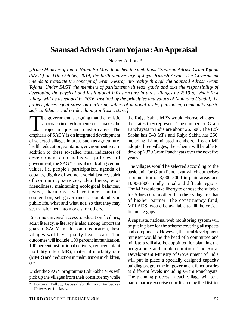# **Saansad Adrash Gram Yojana: An Appraisal**

Naveed A. Lone\*

*[Prime Minister of India Narendra Modi launched the ambitious "Saansad Adrash Gram Yojana (SAGY) on 11th October, 2014, the birth anniversary of Jaya Prakash Aryan. The Government intends to translate the concept of Gram Swaraj into reality through the Saansad Adrash Gram Yojana. Under SAGY, the members of parliament will lead, guide and take the responsibility of developing the physical and institutional infrastructure in three villages by 2019 of which first village will be developed by 2016. Inspired by the principles and values of Mahatma Gandhi, the project places equal stress on nurturing values of national pride, patriotism, community spirit, self-confidence and on developing infrastructure.]*

The government is arguing that the holistic approach in development sense makes the project unique and transformative. The emphasis of SAGY is on integrated development he government is arguing that the holistic approach in development sense makes the project unique and transformative. The of selected villages in areas such as agriculture, health, education, sanitation, environment etc. In addition to these so-called ritual indicators of development-cum-inclusive policies of government, the SAGY aims at inculcating certain values, i.e. people's participation, agenda of equality, dignity of women, social justice, spirit of community services, cleanliness, ecofriendliness, maintaining ecological balances, peace, harmony, self-reliance, mutual cooperation, self-governance, accountability in public life, what and what not, so that they may get transformed into models for others.

Ensuring universal access to education facilities, adult literacy, e-literacy is also among important goals of SAGY. In addition to education, these villages will have quality health care. The outcomes will include 100 percent immunization, 100 percent institutional delivery, reduced infant mortality rate (IMR), maternal mortality rate (MMR) and reduction in malnutrition in children, etc.

Under the SAGY programme Lok Sabha MPs will pick up the villages from their constituency while the Rajya Sabha MP's would choose villages in the states they represent. The numbers of Gram Panchayats in India are about 26, 500. The Lok Sabha has 543 MPs and Rajya Sabha has 250, including 12 nominated members. If each MP adopts three villages, the scheme will be able to develop 2379 Gram Panchayats over the next five years.

The villages would be selected according to the basic unit for Gram Panchayat which comprises a population of 3,000-5000 in plain areas and 1000-3000 in hilly, tribal and difficult regions. The MP would take liberty to choose the suitable for Adarsh Gram other than their village or that of his/her partner. The constituency fund, MPLADS, would be available to fill the critical financing gaps.

A separate, national web monitoring system will be put in place for the scheme covering all aspects and components. However, the rural development minister would be the head of a committee and ministers will also be appointed for planning the programme and implementation. The Rural Development Ministry of Government of India will put in place a specially designed capacity building programme for government functionaries at different levels including Gram Panchayats. The planning process in each village will be a participatory exercise coordinated by the District

<sup>\*</sup> Doctoral Fellow, Babasaheb Bhimrao Ambedkar University, Lucknow.